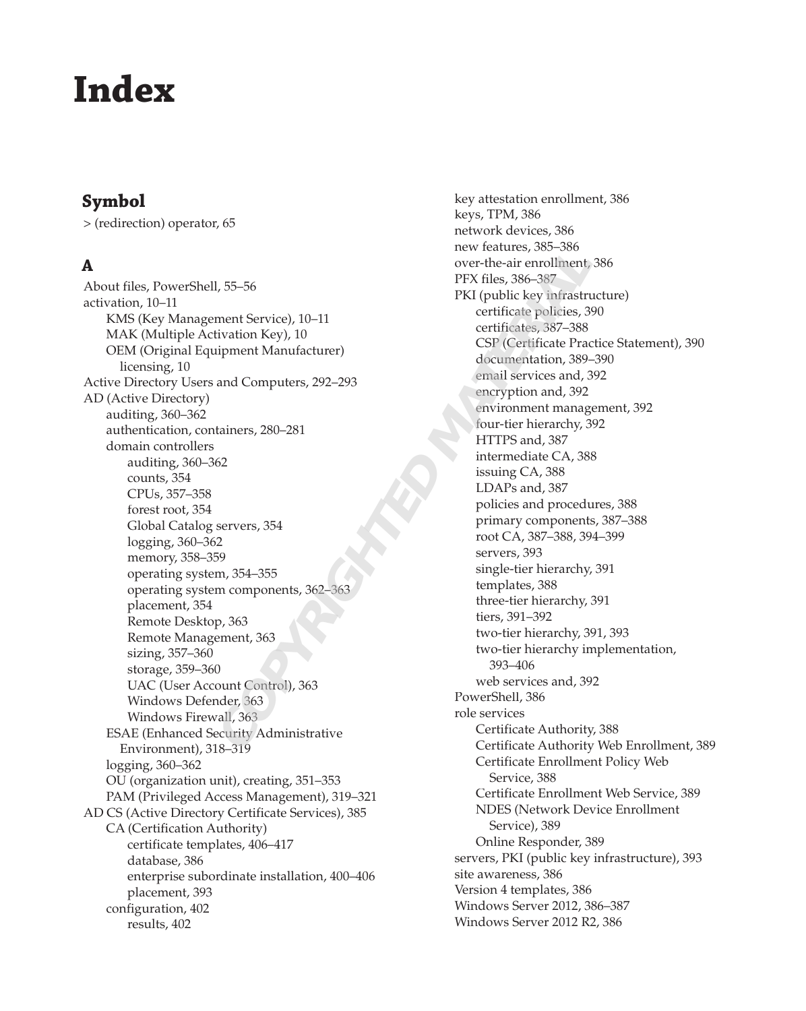# **Index**

## **Symbol**

> (redirection) operator, 65

## **A**

About files, PowerShell, 55–56 activation, 10–11 KMS (Key Management Service), 10–11 MAK (Multiple Activation Key), 10 OEM (Original Equipment Manufacturer) licensing, 10 Active Directory Users and Computers, 292–293 AD (Active Directory) auditing, 360–362 authentication, containers, 280–281 domain controllers auditing, 360–362 counts, 354 CPUs, 357–358 forest root, 354 Global Catalog servers, 354 logging, 360–362 memory, 358–359 operating system, 354–355 operating system components, 362placement, 354 Remote Desktop, 363 Remote Management, 363 sizing, 357–360 storage, 359–360 UAC (User Account Control), 363 Windows Defender, 363 Windows Firewall, 363 ESAE (Enhanced Security Administrative Environment), 318–319 logging, 360–362 OU (organization unit), creating, 351–353 PAM (Privileged Access Management), 319–321 AD CS (Active Directory Certificate Services), 385 CA (Certification Authority) certificate templates, 406–417 database, 386 enterprise subordinate installation, 400–406 placement, 393 configuration, 402 results, 402 1, 55–56<br>
wor-the-air enrollhent,<br>
2, 55–56<br>
wor-the-air enrollhent,<br>
FEX files, 386–387<br>
FEX files, 386–387<br>
EX (lubbic key infrastrice policies, 3<br>
uipment Manufacturer)<br>
and Computers, 292–293<br>
anal services and, 3<br>
and

key attestation enrollment, 386 keys, TPM, 386 network devices, 386 new features, 385–386 over-the-air enrollment, 386 PFX files, 386–387 PKI (public key infrastructure) certificate policies, 390 certificates, 387–388 CSP (Certificate Practice Statement), 390 documentation, 389–390 email services and, 392 encryption and, 392 environment management, 392 four-tier hierarchy, 392 HTTPS and, 387 intermediate CA, 388 issuing CA, 388 LDAPs and, 387 policies and procedures, 388 primary components, 387–388 root CA, 387–388, 394–399 servers, 393 single-tier hierarchy, 391 templates, 388 three-tier hierarchy, 391 tiers, 391–392 two-tier hierarchy, 391, 393 two-tier hierarchy implementation, 393–406 web services and, 392 PowerShell, 386 role services Certificate Authority, 388 Certificate Authority Web Enrollment, 389 Certificate Enrollment Policy Web Service, 388 Certificate Enrollment Web Service, 389 NDES (Network Device Enrollment Service), 389 Online Responder, 389 servers, PKI (public key infrastructure), 393 site awareness, 386 Version 4 templates, 386 Windows Server 2012, 386–387 Windows Server 2012 R2, 386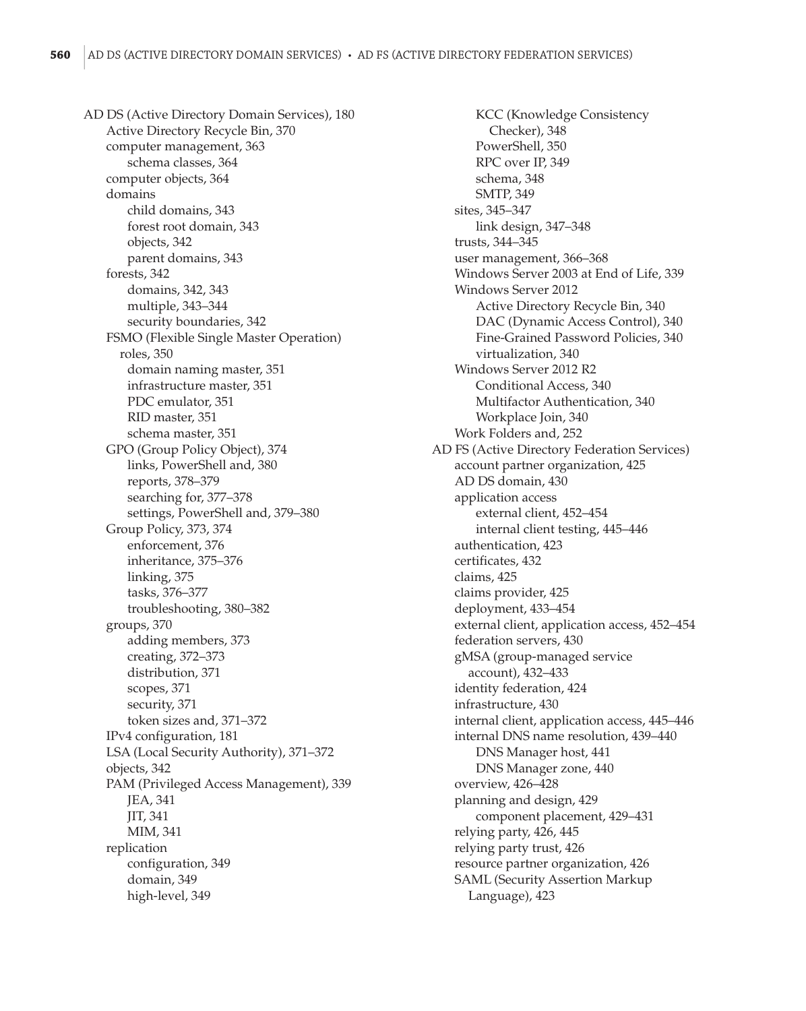AD DS (Active Directory Domain Services), 180 Active Directory Recycle Bin, 370 computer management, 363 schema classes, 364 computer objects, 364 domains child domains, 343 forest root domain, 343 objects, 342 parent domains, 343 forests, 342 domains, 342, 343 multiple, 343–344 security boundaries, 342 FSMO (Flexible Single Master Operation) roles, 350 domain naming master, 351 infrastructure master, 351 PDC emulator, 351 RID master, 351 schema master, 351 GPO (Group Policy Object), 374 links, PowerShell and, 380 reports, 378–379 searching for, 377–378 settings, PowerShell and, 379–380 Group Policy, 373, 374 enforcement, 376 inheritance, 375–376 linking, 375 tasks, 376–377 troubleshooting, 380–382 groups, 370 adding members, 373 creating, 372–373 distribution, 371 scopes, 371 security, 371 token sizes and, 371–372 IPv4 configuration, 181 LSA (Local Security Authority), 371–372 objects, 342 PAM (Privileged Access Management), 339 JEA, 341 JIT, 341 MIM, 341 replication configuration, 349 domain, 349 high-level, 349

KCC (Knowledge Consistency Checker), 348 PowerShell, 350 RPC over IP, 349 schema, 348 SMTP, 349 sites, 345–347 link design, 347–348 trusts, 344–345 user management, 366–368 Windows Server 2003 at End of Life, 339 Windows Server 2012 Active Directory Recycle Bin, 340 DAC (Dynamic Access Control), 340 Fine-Grained Password Policies, 340 virtualization, 340 Windows Server 2012 R2 Conditional Access, 340 Multifactor Authentication, 340 Workplace Join, 340 Work Folders and, 252 AD FS (Active Directory Federation Services) account partner organization, 425 AD DS domain, 430 application access external client, 452–454 internal client testing, 445–446 authentication, 423 certificates, 432 claims, 425 claims provider, 425 deployment, 433–454 external client, application access, 452–454 federation servers, 430 gMSA (group-managed service account), 432–433 identity federation, 424 infrastructure, 430 internal client, application access, 445–446 internal DNS name resolution, 439–440 DNS Manager host, 441 DNS Manager zone, 440 overview, 426–428 planning and design, 429 component placement, 429–431 relying party, 426, 445 relying party trust, 426 resource partner organization, 426 SAML (Security Assertion Markup Language), 423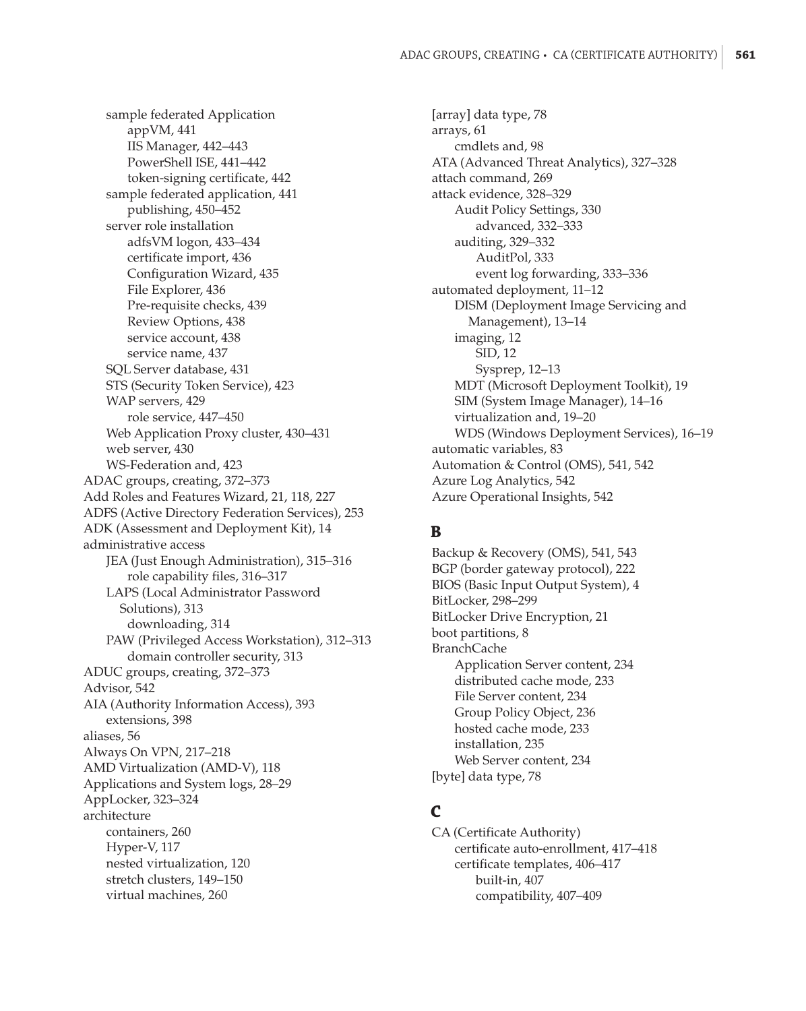sample federated Application appVM, 441 IIS Manager, 442–443 PowerShell ISE, 441–442 token-signing certificate, 442 sample federated application, 441 publishing, 450–452 server role installation adfsVM logon, 433–434 certificate import, 436 Configuration Wizard, 435 File Explorer, 436 Pre-requisite checks, 439 Review Options, 438 service account, 438 service name, 437 SQL Server database, 431 STS (Security Token Service), 423 WAP servers, 429 role service, 447–450 Web Application Proxy cluster, 430–431 web server, 430 WS-Federation and, 423 ADAC groups, creating, 372–373 Add Roles and Features Wizard, 21, 118, 227 ADFS (Active Directory Federation Services), 253 ADK (Assessment and Deployment Kit), 14 administrative access JEA (Just Enough Administration), 315–316 role capability files, 316–317 LAPS (Local Administrator Password Solutions), 313 downloading, 314 PAW (Privileged Access Workstation), 312–313 domain controller security, 313 ADUC groups, creating, 372–373 Advisor, 542 AIA (Authority Information Access), 393 extensions, 398 aliases, 56 Always On VPN, 217–218 AMD Virtualization (AMD-V), 118 Applications and System logs, 28–29 AppLocker, 323–324 architecture containers, 260 Hyper-V, 117 nested virtualization, 120 stretch clusters, 149–150 virtual machines, 260

[array] data type, 78 arrays, 61 cmdlets and, 98 ATA (Advanced Threat Analytics), 327–328 attach command, 269 attack evidence, 328–329 Audit Policy Settings, 330 advanced, 332–333 auditing, 329–332 AuditPol, 333 event log forwarding, 333–336 automated deployment, 11–12 DISM (Deployment Image Servicing and Management), 13–14 imaging, 12 SID, 12 Sysprep, 12–13 MDT (Microsoft Deployment Toolkit), 19 SIM (System Image Manager), 14–16 virtualization and, 19–20 WDS (Windows Deployment Services), 16–19 automatic variables, 83 Automation & Control (OMS), 541, 542 Azure Log Analytics, 542 Azure Operational Insights, 542

#### **B**

Backup & Recovery (OMS), 541, 543 BGP (border gateway protocol), 222 BIOS (Basic Input Output System), 4 BitLocker, 298–299 BitLocker Drive Encryption, 21 boot partitions, 8 BranchCache Application Server content, 234 distributed cache mode, 233 File Server content, 234 Group Policy Object, 236 hosted cache mode, 233 installation, 235 Web Server content, 234 [byte] data type, 78

## **C**

CA (Certificate Authority) certificate auto-enrollment, 417–418 certificate templates, 406–417 built-in, 407 compatibility, 407–409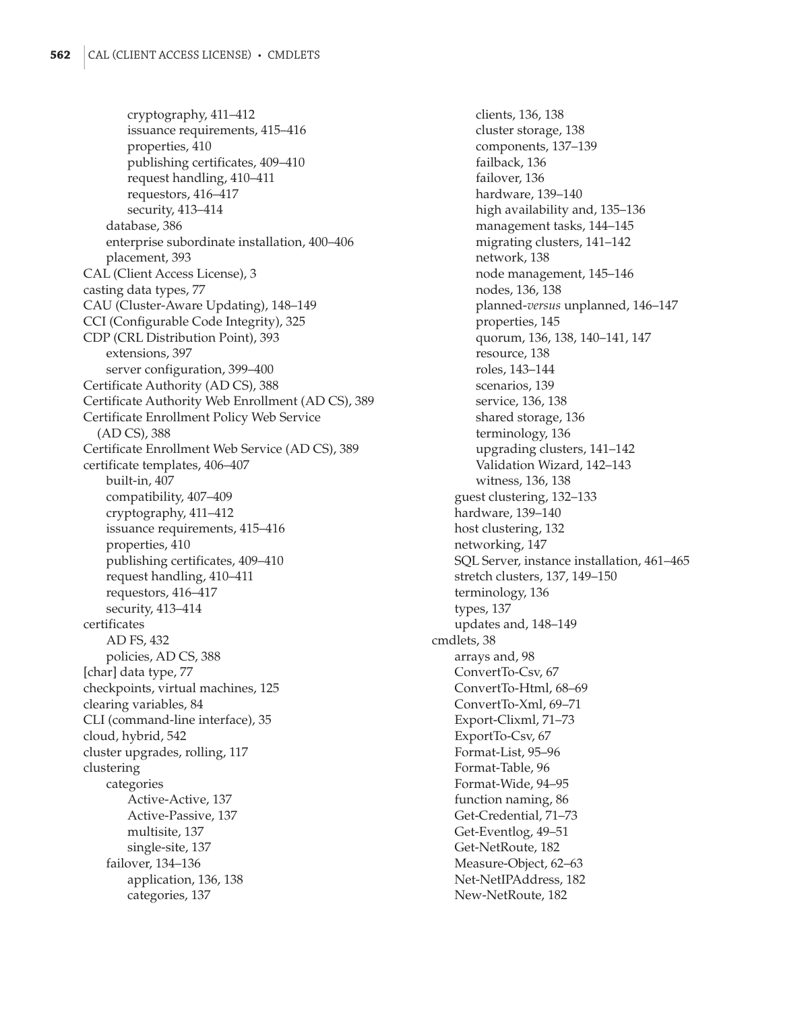cryptography, 411–412 issuance requirements, 415–416 properties, 410 publishing certificates, 409–410 request handling, 410–411 requestors, 416–417 security, 413–414 database, 386 enterprise subordinate installation, 400–406 placement, 393 CAL (Client Access License), 3 casting data types, 77 CAU (Cluster-Aware Updating), 148–149 CCI (Configurable Code Integrity), 325 CDP (CRL Distribution Point), 393 extensions, 397 server configuration, 399–400 Certificate Authority (AD CS), 388 Certificate Authority Web Enrollment (AD CS), 389 Certificate Enrollment Policy Web Service (AD CS), 388 Certificate Enrollment Web Service (AD CS), 389 certificate templates, 406–407 built-in, 407 compatibility, 407–409 cryptography, 411–412 issuance requirements, 415–416 properties, 410 publishing certificates, 409–410 request handling, 410–411 requestors, 416–417 security, 413–414 certificates AD FS, 432 policies, AD CS, 388 [char] data type, 77 checkpoints, virtual machines, 125 clearing variables, 84 CLI (command-line interface), 35 cloud, hybrid, 542 cluster upgrades, rolling, 117 clustering categories Active-Active, 137 Active-Passive, 137 multisite, 137 single-site, 137 failover, 134–136 application, 136, 138 categories, 137

clients, 136, 138 cluster storage, 138 components, 137–139 failback, 136 failover, 136 hardware, 139–140 high availability and, 135–136 management tasks, 144–145 migrating clusters, 141–142 network, 138 node management, 145–146 nodes, 136, 138 planned-*versus* unplanned, 146–147 properties, 145 quorum, 136, 138, 140–141, 147 resource, 138 roles, 143–144 scenarios, 139 service, 136, 138 shared storage, 136 terminology, 136 upgrading clusters, 141–142 Validation Wizard, 142–143 witness, 136, 138 guest clustering, 132–133 hardware, 139–140 host clustering, 132 networking, 147 SQL Server, instance installation, 461–465 stretch clusters, 137, 149–150 terminology, 136 types, 137 updates and, 148–149 cmdlets, 38 arrays and, 98 ConvertTo-Csv, 67 ConvertTo-Html, 68–69 ConvertTo-Xml, 69–71 Export-Clixml, 71–73 ExportTo-Csv, 67 Format-List, 95–96 Format-Table, 96 Format-Wide, 94–95 function naming, 86 Get-Credential, 71–73 Get-Eventlog, 49–51 Get-NetRoute, 182 Measure-Object, 62–63 Net-NetIPAddress, 182 New-NetRoute, 182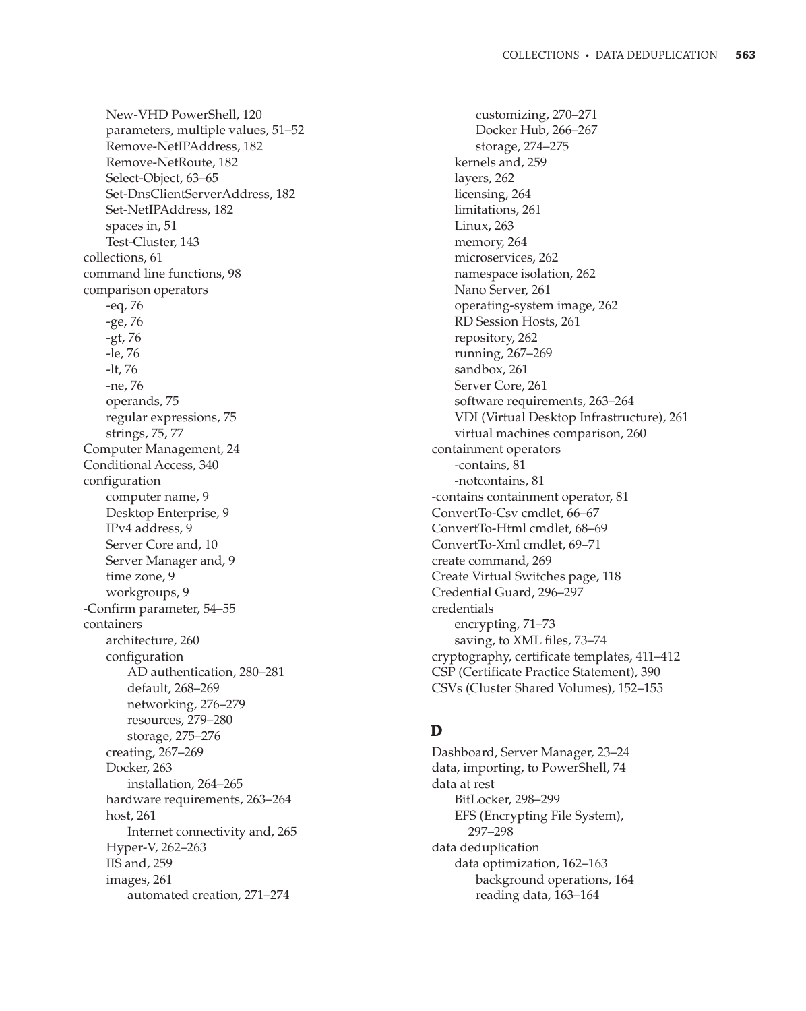New-VHD PowerShell , 12 0 parameters, multi ple values, 51–5 2 Remove-NetIPAddress , 18 2 Remove-NetRoute , 18 2 Select-Ob ject, 63–6 5 Set-DnsC lientServerAddress , 18 2 Set-NetIPAddress, 18 2 s paces in, 5 1 Test-Cluster, 14 3 collections , 6 1 command line functions , 9 8 com parison o perator s -e q, 76 - ge, 76 - gt, 7 6 - l e , 7 6 - l t , 7 6 -ne , 76 o peran ds, 7 5 r e g u lar expressions, 7 5 strin gs, 75, 77 Computer Mana gement, 2 4 Con ditiona l Access , 34 0 con f i guratio n com puter name, 9 Deskto p Enter prise, 9 IPv4 address , 9 Server Core and, 1 0 Server Mana ger and, 9 time zone , 9 work groups, 9 -Confirm parameter, 54–5 5 container s architecture , 26 0 confi guratio n AD aut hentication , 280–28 1 de fault , 268–26 9 networ kin g, 276–27 9 resources , 279 –280 stora ge, 275–27 6 creatin g, 267 –269 Doc ker, 26 3 installation , 264–26 5 har dware re quirements, 263–26 4 host , 26 1 Internet connectivit y an d, 26 5 Hyper-V, 262–263 IIS an d, 25 9 ima ges, 26 1 automate d creation, 271–27 4

customizin g, 270–27 1 Docker Hub , 266–26 7 stora ge, 274–27 5 kernels and , 25 9 la yers, 26 2 licensin g, 26 4 limitations, 26 1 Linux , 26 3 memor y, 26 4 microservices , 26 2 names pace isolation, 26 2 Nano Server, 26 1 operatin g-s ystem ima ge, 262 RD Session Hosts, 26 1 repositor y, 26 2 runnin g, 267 –269 sandbox , 26 1 Server Core , 261 software re quirements, 263–26 4 VDI (Virtual Deskto p Infrastructure), 26 1 virtua l mac hines com parison, 26 0 containment o perator s -contains , 8 1 -notcontains , 8 1 -contains containment o perator, 8 1 ConvertTo-Csv cmdlet , 66–6 7 ConvertTo-Html cmdlet , 68–6 9 ConvertTo-Xml cmdlet, 69–7 1 create command , 26 9 Create Virtual Switches pa ge, 118 Credential Guard , 296–297 credentials encryptin g, 7 1–7 3 savin g, to XML files, 73–7 4 c r ypto graph y, certificate templates, 411–41 2 CSP (Certi ficate Practice Statement), 39 0 CSVs ( C luster S hare d Vo lumes ), 152–15 5

#### **D**

Dashboar d, Server Mana ger, 23–2 4 data, importin g, to PowerS h ell, 7 4 data at rest BitLocker, 298–29 9 EFS (Encr yptin g Fi le S ystem ) , 297 –298 data d e d uplicatio n data o ptimization, 162–16 3 backgroun d operations, 16 4 rea din g data, 163–164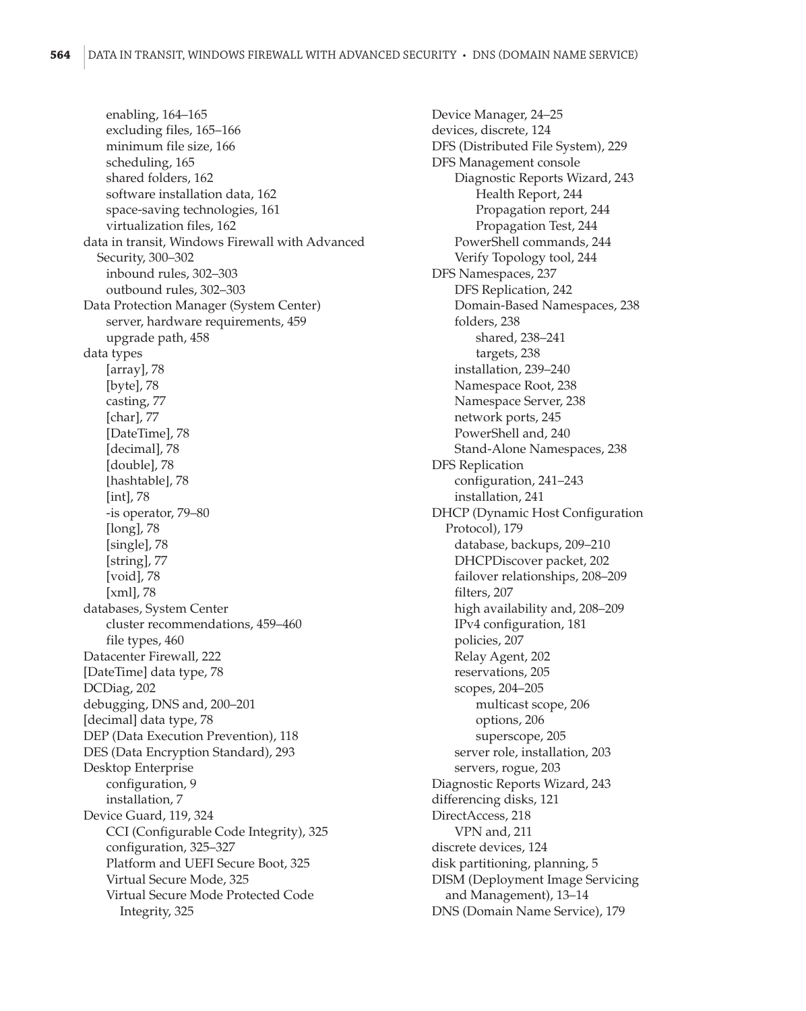enabling, 164–165 excluding files, 165–166 minimum file size, 166 scheduling, 165 shared folders, 162 software installation data, 162 space-saving technologies, 161 virtualization files, 162 data in transit, Windows Firewall with Advanced Security, 300–302 inbound rules, 302–303 outbound rules, 302–303 Data Protection Manager (System Center) server, hardware requirements, 459 upgrade path, 458 data types [array], 78 [byte], 78 casting, 77 [char], 77 [DateTime], 78 [decimal], 78 [double], 78 [hashtable], 78 [int], 78 -is operator, 79–80 [long], 78 [single], 78 [string], 77 [void], 78 [xml], 78 databases, System Center cluster recommendations, 459–460 file types, 460 Datacenter Firewall, 222 [DateTime] data type, 78 DCDiag, 202 debugging, DNS and, 200–201 [decimal] data type, 78 DEP (Data Execution Prevention), 118 DES (Data Encryption Standard), 293 Desktop Enterprise configuration, 9 installation, 7 Device Guard, 119, 324 CCI (Configurable Code Integrity), 325 configuration, 325–327 Platform and UEFI Secure Boot, 325 Virtual Secure Mode, 325 Virtual Secure Mode Protected Code Integrity, 325

Device Manager, 24–25 devices, discrete, 124 DFS (Distributed File System), 229 DFS Management console Diagnostic Reports Wizard, 243 Health Report, 244 Propagation report, 244 Propagation Test, 244 PowerShell commands, 244 Verify Topology tool, 244 DFS Namespaces, 237 DFS Replication, 242 Domain-Based Namespaces, 238 folders, 238 shared, 238–241 targets, 238 installation, 239–240 Namespace Root, 238 Namespace Server, 238 network ports, 245 PowerShell and, 240 Stand-Alone Namespaces, 238 DFS Replication configuration, 241–243 installation, 241 DHCP (Dynamic Host Configuration Protocol), 179 database, backups, 209–210 DHCPDiscover packet, 202 failover relationships, 208–209 filters, 207 high availability and, 208–209 IPv4 configuration, 181 policies, 207 Relay Agent, 202 reservations, 205 scopes, 204–205 multicast scope, 206 options, 206 superscope, 205 server role, installation, 203 servers, rogue, 203 Diagnostic Reports Wizard, 243 differencing disks, 121 DirectAccess, 218 VPN and, 211 discrete devices, 124 disk partitioning, planning, 5 DISM (Deployment Image Servicing and Management), 13–14 DNS (Domain Name Service), 179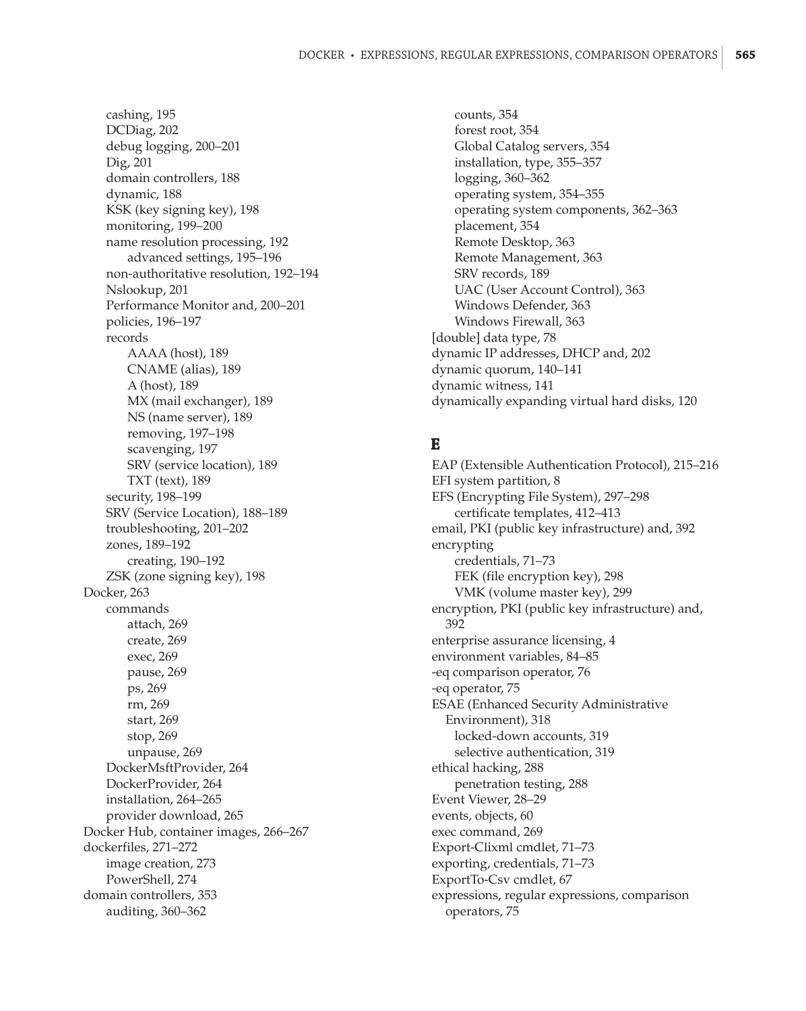cashing, 195 DCDiag, 202 debug logging, 200–201 Dig, 201 domain controllers, 188 dynamic, 188 KSK (key signing key), 198 monitoring, 199–200 name resolution processing, 192 advanced settings, 195–196 non-authoritative resolution, 192–194 Nslookup, 201 Performance Monitor and, 200–201 policies, 196–197 records AAAA (host), 189 CNAME (alias), 189 A (host), 189 MX (mail exchanger), 189 NS (name server), 189 removing, 197–198 scavenging, 197 SRV (service location), 189 TXT (text), 189 security, 198–199 SRV (Service Location), 188–189 troubleshooting, 201–202 zones, 189–192 creating, 190–192 ZSK (zone signing key), 198 Docker, 263 commands attach, 269 create, 269 exec, 269 pause, 269 ps, 269 rm, 269 start, 269 stop, 269 unpause, 269 DockerMsftProvider, 264 DockerProvider, 264 installation, 264–265 provider download, 265 Docker Hub, container images, 266–267 dockerfiles, 271–272 image creation, 273 PowerShell, 274 domain controllers, 353 auditing, 360–362

counts, 354 forest root, 354 Global Catalog servers, 354 installation, type, 355–357 logging, 360–362 operating system, 354–355 operating system components, 362–363 placement, 354 Remote Desktop, 363 Remote Management, 363 SRV records, 189 UAC (User Account Control), 363 Windows Defender, 363 Windows Firewall, 363 [double] data type, 78 dynamic IP addresses, DHCP and, 202 dynamic quorum, 140–141 dynamic witness, 141 dynamically expanding virtual hard disks, 120

#### **E**

EAP (Extensible Authentication Protocol), 215–216 EFI system partition, 8 EFS (Encrypting File System), 297–298 certificate templates, 412–413 email, PKI (public key infrastructure) and, 392 encrypting credentials, 71–73 FEK (file encryption key), 298 VMK (volume master key), 299 encryption, PKI (public key infrastructure) and, 392 enterprise assurance licensing, 4 environment variables, 84–85 -eq comparison operator, 76 -eq operator, 75 ESAE (Enhanced Security Administrative Environment), 318 locked-down accounts, 319 selective authentication, 319 ethical hacking, 288 penetration testing, 288 Event Viewer, 28–29 events, objects, 60 exec command, 269 Export-Clixml cmdlet, 71–73 exporting, credentials, 71–73 ExportTo-Csv cmdlet, 67 expressions, regular expressions, comparison operators, 75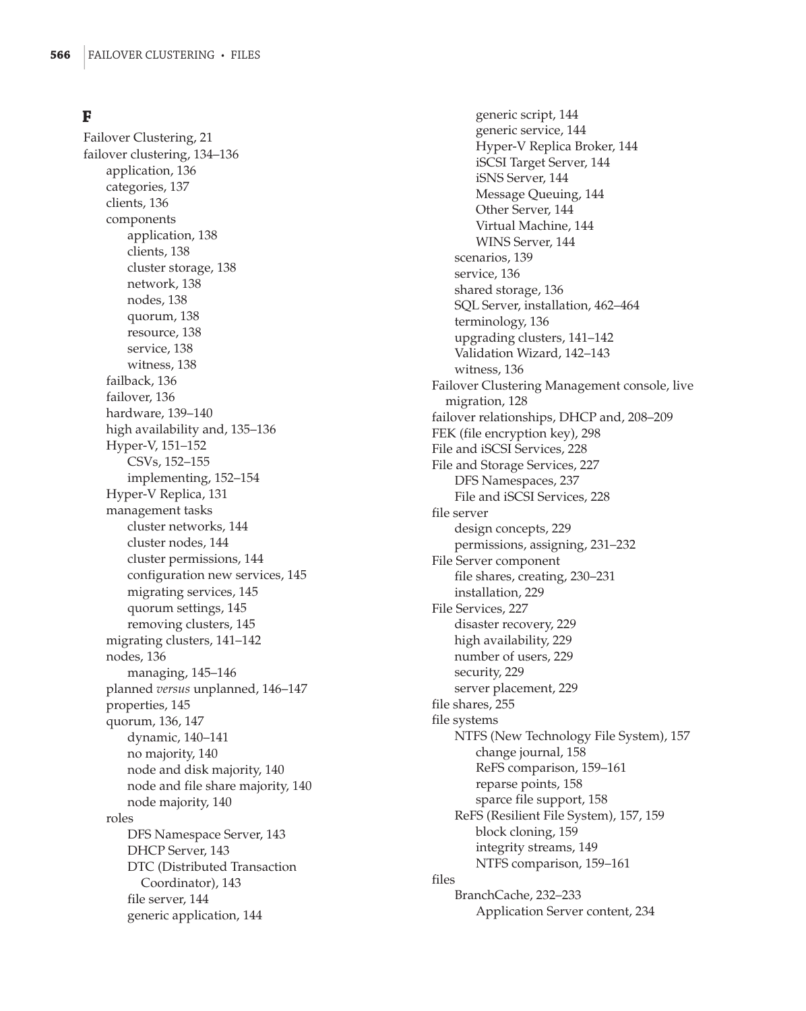## **F**

Failover Clustering, 21 failover clustering, 134–136 application, 136 categories, 137 clients, 136 components application, 138 clients, 138 cluster storage, 138 network, 138 nodes, 138 quorum, 138 resource, 138 service, 138 witness, 138 failback, 136 failover, 136 hardware, 139–140 high availability and, 135–136 Hyper-V, 151–152 CSVs, 152–155 implementing, 152–154 Hyper-V Replica, 131 management tasks cluster networks, 144 cluster nodes, 144 cluster permissions, 144 configuration new services, 145 migrating services, 145 quorum settings, 145 removing clusters, 145 migrating clusters, 141–142 nodes, 136 managing, 145–146 planned *versus* unplanned, 146–147 properties, 145 quorum, 136, 147 dynamic, 140–141 no majority, 140 node and disk majority, 140 node and file share majority, 140 node majority, 140 roles DFS Namespace Server, 143 DHCP Server, 143 DTC (Distributed Transaction Coordinator), 143 file server, 144 generic application, 144

generic script, 144 generic service, 144 Hyper-V Replica Broker, 144 iSCSI Target Server, 144 iSNS Server, 144 Message Queuing, 144 Other Server, 144 Virtual Machine, 144 WINS Server, 144 scenarios, 139 service, 136 shared storage, 136 SQL Server, installation, 462–464 terminology, 136 upgrading clusters, 141–142 Validation Wizard, 142–143 witness, 136 Failover Clustering Management console, live migration, 128 failover relationships, DHCP and, 208–209 FEK (file encryption key), 298 File and iSCSI Services, 228 File and Storage Services, 227 DFS Namespaces, 237 File and iSCSI Services, 228 file server design concepts, 229 permissions, assigning, 231–232 File Server component file shares, creating, 230–231 installation, 229 File Services, 227 disaster recovery, 229 high availability, 229 number of users, 229 security, 229 server placement, 229 file shares, 255 file systems NTFS (New Technology File System), 157 change journal, 158 ReFS comparison, 159–161 reparse points, 158 sparce file support, 158 ReFS (Resilient File System), 157, 159 block cloning, 159 integrity streams, 149 NTFS comparison, 159–161 files BranchCache, 232–233 Application Server content, 234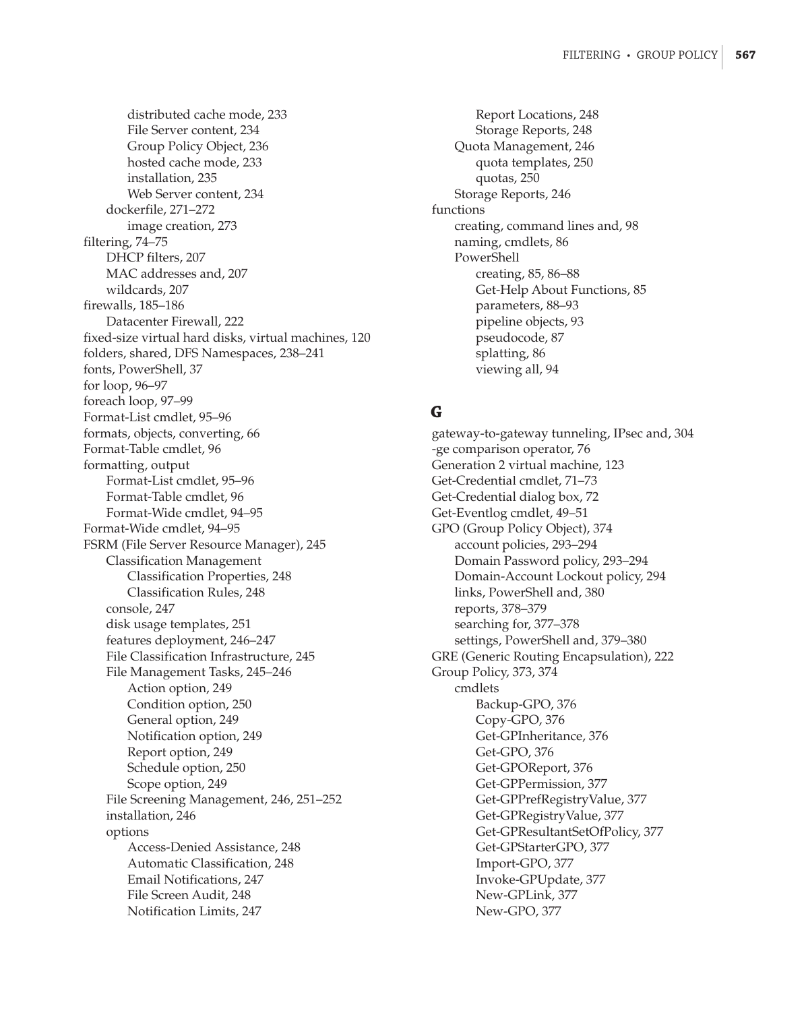distributed cache mode, 233 File Server content, 234 Group Policy Object, 236 hosted cache mode, 233 installation, 235 Web Server content, 234 dockerfile, 271–272 image creation, 273 filtering, 74–75 DHCP filters, 207 MAC addresses and, 207 wildcards, 207 firewalls, 185–186 Datacenter Firewall, 222 fixed-size virtual hard disks, virtual machines, 120 folders, shared, DFS Namespaces, 238–241 fonts, PowerShell, 37 for loop, 96–97 foreach loop, 97–99 Format-List cmdlet, 95–96 formats, objects, converting, 66 Format-Table cmdlet, 96 formatting, output Format-List cmdlet, 95–96 Format-Table cmdlet, 96 Format-Wide cmdlet, 94–95 Format-Wide cmdlet, 94–95 FSRM (File Server Resource Manager), 245 Classification Management Classification Properties, 248 Classification Rules, 248 console, 247 disk usage templates, 251 features deployment, 246–247 File Classification Infrastructure, 245 File Management Tasks, 245–246 Action option, 249 Condition option, 250 General option, 249 Notification option, 249 Report option, 249 Schedule option, 250 Scope option, 249 File Screening Management, 246, 251–252 installation, 246 options Access-Denied Assistance, 248 Automatic Classification, 248 Email Notifications, 247 File Screen Audit, 248 Notification Limits, 247

Report Locations, 248 Storage Reports, 248 Quota Management, 246 quota templates, 250 quotas, 250 Storage Reports, 246 functions creating, command lines and, 98 naming, cmdlets, 86 PowerShell creating, 85, 86–88 Get-Help About Functions, 85 parameters, 88–93 pipeline objects, 93 pseudocode, 87 splatting, 86 viewing all, 94

## **G**

gateway-to-gateway tunneling, IPsec and, 304 -ge comparison operator, 76 Generation 2 virtual machine, 123 Get-Credential cmdlet, 71–73 Get-Credential dialog box, 72 Get-Eventlog cmdlet, 49–51 GPO (Group Policy Object), 374 account policies, 293–294 Domain Password policy, 293–294 Domain-Account Lockout policy, 294 links, PowerShell and, 380 reports, 378–379 searching for, 377–378 settings, PowerShell and, 379–380 GRE (Generic Routing Encapsulation), 222 Group Policy, 373, 374 cmdlets Backup-GPO, 376 Copy-GPO, 376 Get-GPInheritance, 376 Get-GPO, 376 Get-GPOReport, 376 Get-GPPermission, 377 Get-GPPrefRegistryValue, 377 Get-GPRegistryValue, 377 Get-GPResultantSetOfPolicy, 377 Get-GPStarterGPO, 377 Import-GPO, 377 Invoke-GPUpdate, 377 New-GPLink, 377 New-GPO, 377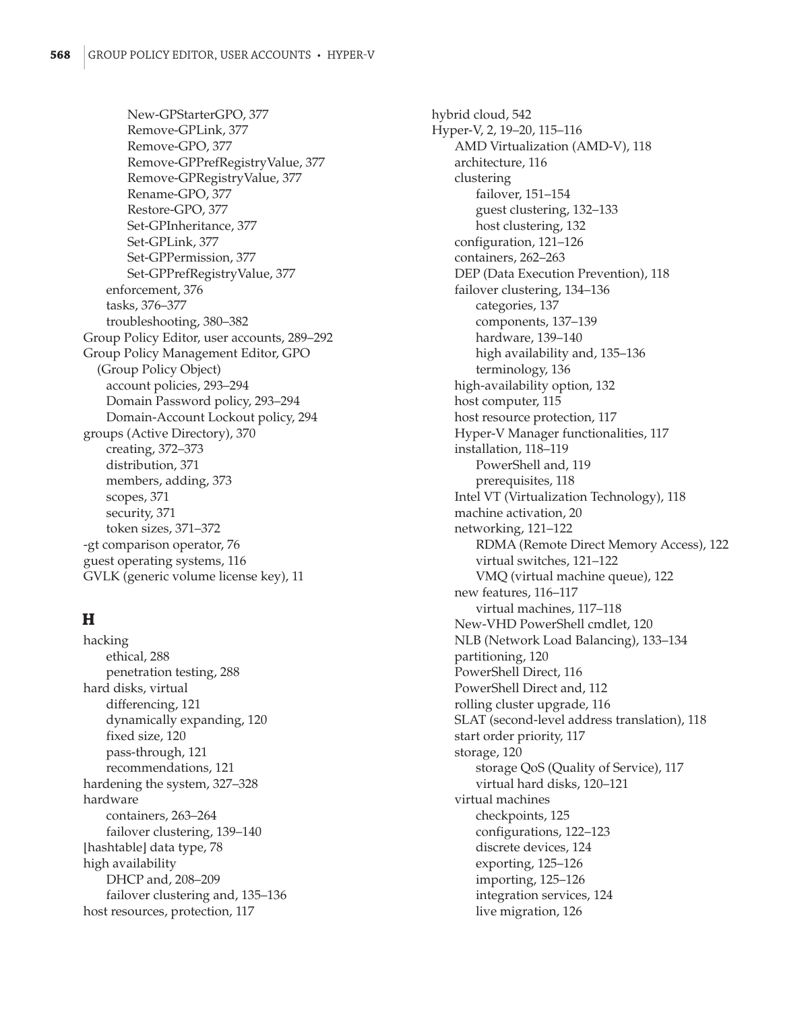New-GPStarterGPO, 377 Remove-GPLink, 377 Remove-GPO, 377 Remove-GPPrefRegistryValue, 377 Remove-GPRegistryValue, 377 Rename-GPO, 377 Restore-GPO, 377 Set-GPInheritance, 377 Set-GPLink, 377 Set-GPPermission, 377 Set-GPPrefRegistryValue, 377 enforcement, 376 tasks, 376–377 troubleshooting, 380–382 Group Policy Editor, user accounts, 289–292 Group Policy Management Editor, GPO (Group Policy Object) account policies, 293–294 Domain Password policy, 293–294 Domain-Account Lockout policy, 294 groups (Active Directory), 370 creating, 372–373 distribution, 371 members, adding, 373 scopes, 371 security, 371 token sizes, 371–372 -gt comparison operator, 76 guest operating systems, 116 GVLK (generic volume license key), 11

## **H**

hacking ethical, 288 penetration testing, 288 hard disks, virtual differencing, 121 dynamically expanding, 120 fixed size, 120 pass-through, 121 recommendations, 121 hardening the system, 327–328 hardware containers, 263–264 failover clustering, 139–140 [hashtable] data type, 78 high availability DHCP and, 208–209 failover clustering and, 135–136 host resources, protection, 117

hybrid cloud, 542 Hyper-V, 2, 19–20, 115–116 AMD Virtualization (AMD-V), 118 architecture, 116 clustering failover, 151–154 guest clustering, 132–133 host clustering, 132 configuration, 121–126 containers, 262–263 DEP (Data Execution Prevention), 118 failover clustering, 134–136 categories, 137 components, 137–139 hardware, 139–140 high availability and, 135–136 terminology, 136 high-availability option, 132 host computer, 115 host resource protection, 117 Hyper-V Manager functionalities, 117 installation, 118–119 PowerShell and, 119 prerequisites, 118 Intel VT (Virtualization Technology), 118 machine activation, 20 networking, 121–122 RDMA (Remote Direct Memory Access), 122 virtual switches, 121–122 VMQ (virtual machine queue), 122 new features, 116–117 virtual machines, 117–118 New-VHD PowerShell cmdlet, 120 NLB (Network Load Balancing), 133–134 partitioning, 120 PowerShell Direct, 116 PowerShell Direct and, 112 rolling cluster upgrade, 116 SLAT (second-level address translation), 118 start order priority, 117 storage, 120 storage QoS (Quality of Service), 117 virtual hard disks, 120–121 virtual machines checkpoints, 125 configurations, 122–123 discrete devices, 124 exporting, 125–126 importing, 125–126 integration services, 124 live migration, 126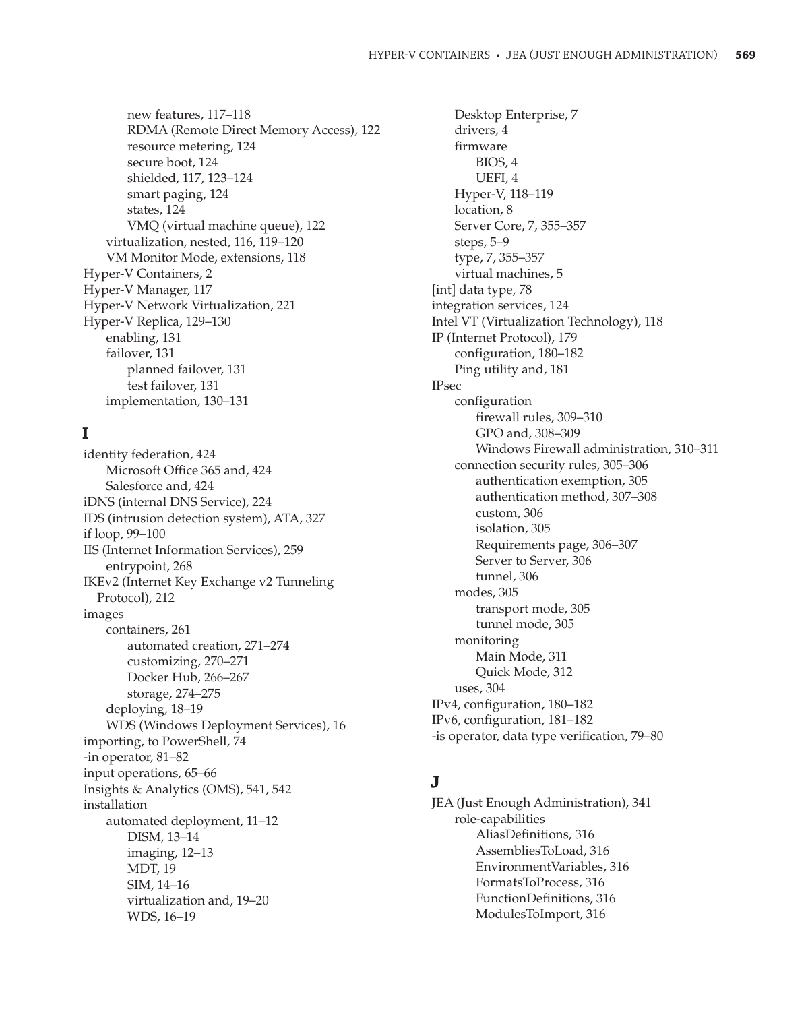new features, 117–118 RDMA (Remote Direct Memory Access), 122 resource metering, 124 secure boot, 124 shielded, 117, 123–124 smart paging, 124 states, 124 VMQ (virtual machine queue), 122 virtualization, nested, 116, 119–120 VM Monitor Mode, extensions, 118 Hyper-V Containers, 2 Hyper-V Manager, 117 Hyper-V Network Virtualization, 221 Hyper-V Replica, 129–130 enabling, 131 failover, 131 planned failover, 131 test failover, 131 implementation, 130–131

#### **I**

identity federation, 424 Microsoft Office 365 and, 424 Salesforce and, 424 iDNS (internal DNS Service), 224 IDS (intrusion detection system), ATA, 327 if loop, 99–100 IIS (Internet Information Services), 259 entrypoint, 268 IKEv2 (Internet Key Exchange v2 Tunneling Protocol), 212 images containers, 261 automated creation, 271–274 customizing, 270–271 Docker Hub, 266–267 storage, 274–275 deploying, 18–19 WDS (Windows Deployment Services), 16 importing, to PowerShell, 74 -in operator, 81–82 input operations, 65–66 Insights & Analytics (OMS), 541, 542 installation automated deployment, 11–12 DISM, 13–14 imaging, 12–13 MDT, 19 SIM, 14–16 virtualization and, 19–20 WDS, 16–19

Desktop Enterprise, 7 drivers, 4 firmware BIOS, 4 UEFI, 4 Hyper-V, 118–119 location, 8 Server Core, 7, 355–357 steps, 5–9 type, 7, 355–357 virtual machines, 5 [int] data type, 78 integration services, 124 Intel VT (Virtualization Technology), 118 IP (Internet Protocol), 179 configuration, 180–182 Ping utility and, 181 IPsec configuration firewall rules, 309–310 GPO and, 308–309 Windows Firewall administration, 310–311 connection security rules, 305–306 authentication exemption, 305 authentication method, 307–308 custom, 306 isolation, 305 Requirements page, 306–307 Server to Server, 306 tunnel, 306 modes, 305 transport mode, 305 tunnel mode, 305 monitoring Main Mode, 311 Quick Mode, 312 uses, 304 IPv4, configuration, 180–182 IPv6, configuration, 181–182 -is operator, data type verification, 79–80

#### **J**

JEA (Just Enough Administration), 341 role-capabilities AliasDefinitions, 316 AssembliesToLoad, 316 EnvironmentVariables, 316 FormatsToProcess, 316 FunctionDefinitions, 316 ModulesToImport, 316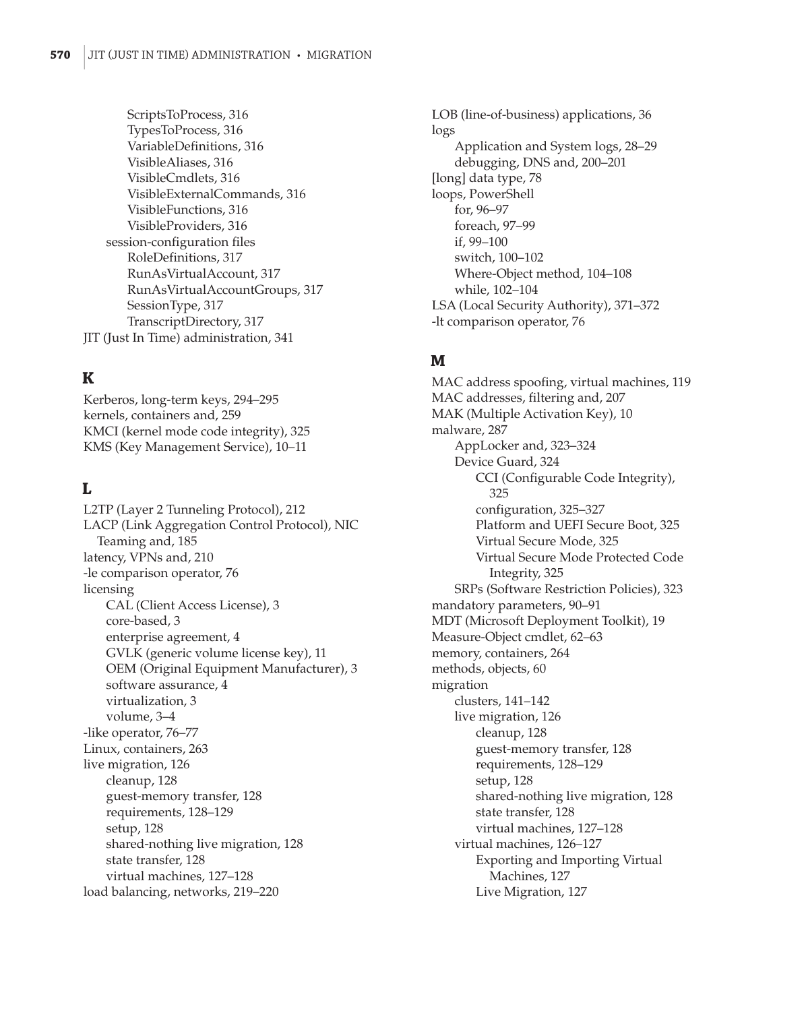ScriptsToProcess, 316 TypesToProcess, 316 VariableDefinitions, 316 VisibleAliases, 316 VisibleCmdlets, 316 VisibleExternalCommands, 316 VisibleFunctions, 316 VisibleProviders, 316 session-configuration files RoleDefinitions, 317 RunAsVirtualAccount, 317 RunAsVirtualAccountGroups, 317 SessionType, 317 TranscriptDirectory, 317 JIT (Just In Time) administration, 341

# **K**

Kerberos, long-term keys, 294–295 kernels, containers and, 259 KMCI (kernel mode code integrity), 325 KMS (Key Management Service), 10–11

# **L**

L2TP (Layer 2 Tunneling Protocol), 212 LACP (Link Aggregation Control Protocol), NIC Teaming and, 185 latency, VPNs and, 210 -le comparison operator, 76 licensing CAL (Client Access License), 3 core-based, 3 enterprise agreement, 4 GVLK (generic volume license key), 11 OEM (Original Equipment Manufacturer), 3 software assurance, 4 virtualization, 3 volume, 3–4 -like operator, 76–77 Linux, containers, 263 live migration, 126 cleanup, 128 guest-memory transfer, 128 requirements, 128–129 setup, 128 shared-nothing live migration, 128 state transfer, 128 virtual machines, 127–128 load balancing, networks, 219–220

LOB (line-of-business) applications, 36 logs Application and System logs, 28–29 debugging, DNS and, 200–201 [long] data type, 78 loops, PowerShell for, 96–97 foreach, 97–99 if, 99–100 switch, 100–102 Where-Object method, 104–108 while, 102–104 LSA (Local Security Authority), 371–372 -lt comparison operator, 76

## **M**

MAC address spoofing, virtual machines, 119 MAC addresses, filtering and, 207 MAK (Multiple Activation Key), 10 malware, 287 AppLocker and, 323–324 Device Guard, 324 CCI (Configurable Code Integrity), 325 configuration, 325–327 Platform and UEFI Secure Boot, 325 Virtual Secure Mode, 325 Virtual Secure Mode Protected Code Integrity, 325 SRPs (Software Restriction Policies), 323 mandatory parameters, 90–91 MDT (Microsoft Deployment Toolkit), 19 Measure-Object cmdlet, 62–63 memory, containers, 264 methods, objects, 60 migration clusters, 141–142 live migration, 126 cleanup, 128 guest-memory transfer, 128 requirements, 128–129 setup, 128 shared-nothing live migration, 128 state transfer, 128 virtual machines, 127–128 virtual machines, 126–127 Exporting and Importing Virtual Machines, 127 Live Migration, 127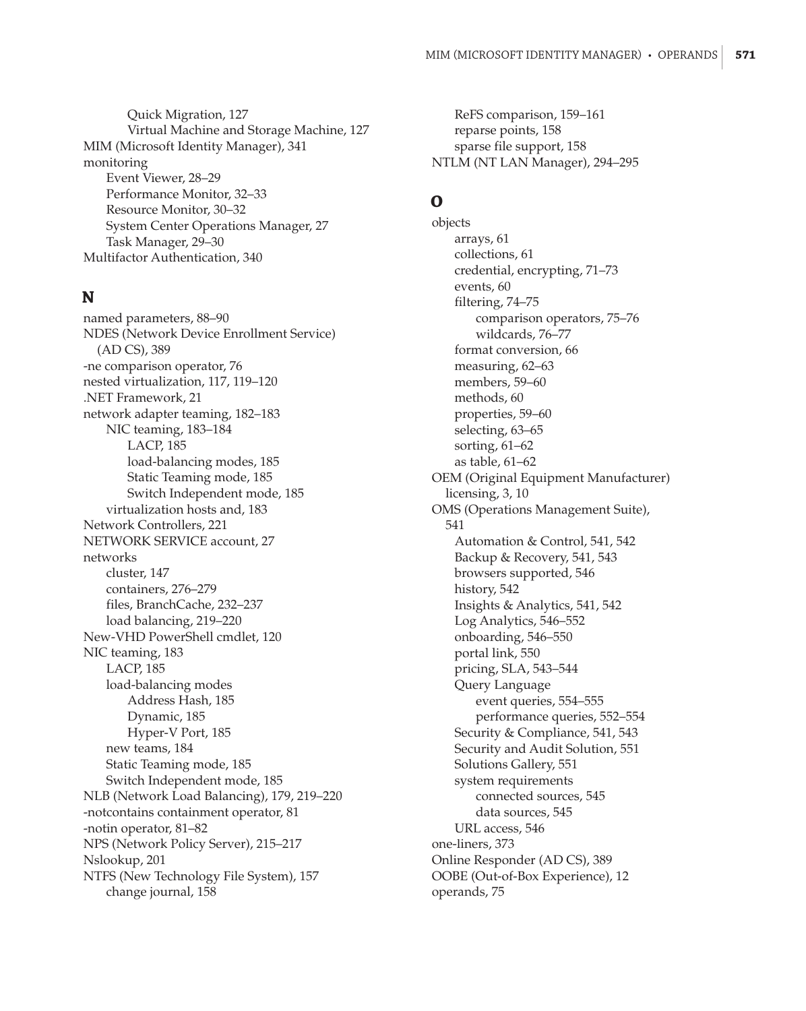Quick Migration, 127 Virtual Machine and Storage Machine, 127 MIM (Microsoft Identity Manager), 341 monitoring Event Viewer, 28–29 Performance Monitor, 32–33 Resource Monitor, 30–32 System Center Operations Manager, 27 Task Manager, 29–30 Multifactor Authentication, 340

#### **N**

named parameters, 88–90 NDES (Network Device Enrollment Service) (AD CS), 389 -ne comparison operator, 76 nested virtualization, 117, 119–120 .NET Framework, 21 network adapter teaming, 182–183 NIC teaming, 183–184 LACP, 185 load-balancing modes, 185 Static Teaming mode, 185 Switch Independent mode, 185 virtualization hosts and, 183 Network Controllers, 221 NETWORK SERVICE account, 27 networks cluster, 147 containers, 276–279 files, BranchCache, 232–237 load balancing, 219–220 New-VHD PowerShell cmdlet, 120 NIC teaming, 183 LACP, 185 load-balancing modes Address Hash, 185 Dynamic, 185 Hyper-V Port, 185 new teams, 184 Static Teaming mode, 185 Switch Independent mode, 185 NLB (Network Load Balancing), 179, 219–220 -notcontains containment operator, 81 -notin operator, 81–82 NPS (Network Policy Server), 215–217 Nslookup, 201 NTFS (New Technology File System), 157 change journal, 158

ReFS comparison, 159–161 reparse points, 158 sparse file support, 158 NTLM (NT LAN Manager), 294–295

## **O**

objects arrays, 61 collections, 61 credential, encrypting, 71–73 events, 60 filtering, 74–75 comparison operators, 75–76 wildcards, 76–77 format conversion, 66 measuring, 62–63 members, 59–60 methods, 60 properties, 59–60 selecting, 63–65 sorting, 61–62 as table, 61–62 OEM (Original Equipment Manufacturer) licensing, 3, 10 OMS (Operations Management Suite), 541 Automation & Control, 541, 542 Backup & Recovery, 541, 543 browsers supported, 546 history, 542 Insights & Analytics, 541, 542 Log Analytics, 546–552 onboarding, 546–550 portal link, 550 pricing, SLA, 543–544 Query Language event queries, 554–555 performance queries, 552–554 Security & Compliance, 541, 543 Security and Audit Solution, 551 Solutions Gallery, 551 system requirements connected sources, 545 data sources, 545 URL access, 546 one-liners, 373 Online Responder (AD CS), 389 OOBE (Out-of-Box Experience), 12 operands, 75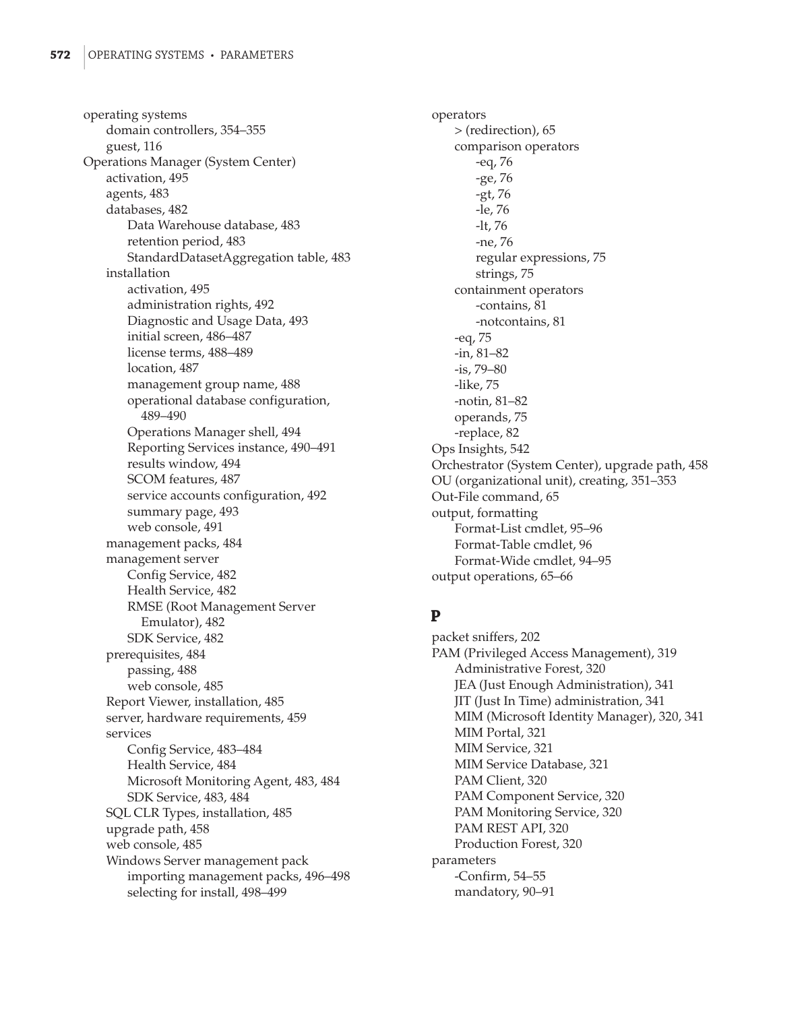operating systems domain controllers, 354–355 guest, 116 Operations Manager (System Center) activation, 495 agents, 483 databases, 482 Data Warehouse database, 483 retention period, 483 StandardDatasetAggregation table, 483 installation activation, 495 administration rights, 492 Diagnostic and Usage Data, 493 initial screen, 486–487 license terms, 488–489 location, 487 management group name, 488 operational database configuration, 489–490 Operations Manager shell, 494 Reporting Services instance, 490–491 results window, 494 SCOM features, 487 service accounts configuration, 492 summary page, 493 web console, 491 management packs, 484 management server Config Service, 482 Health Service, 482 RMSE (Root Management Server Emulator), 482 SDK Service, 482 prerequisites, 484 passing, 488 web console, 485 Report Viewer, installation, 485 server, hardware requirements, 459 services Config Service, 483–484 Health Service, 484 Microsoft Monitoring Agent, 483, 484 SDK Service, 483, 484 SQL CLR Types, installation, 485 upgrade path, 458 web console, 485 Windows Server management pack importing management packs, 496–498 selecting for install, 498–499

operators > (redirection), 65 comparison operators -eq, 76 -ge, 76 -gt, 76 -le, 76 -lt, 76 -ne, 76 regular expressions, 75 strings, 75 containment operators -contains, 81 -notcontains, 81 -eq, 75 -in, 81–82 -is, 79–80 -like, 75 -notin, 81–82 operands, 75 -replace, 82 Ops Insights, 542 Orchestrator (System Center), upgrade path, 458 OU (organizational unit), creating, 351–353 Out-File command, 65 output, formatting Format-List cmdlet, 95–96 Format-Table cmdlet, 96 Format-Wide cmdlet, 94–95 output operations, 65–66

## **P**

packet sniffers, 202 PAM (Privileged Access Management), 319 Administrative Forest, 320 JEA (Just Enough Administration), 341 JIT (Just In Time) administration, 341 MIM (Microsoft Identity Manager), 320, 341 MIM Portal, 321 MIM Service, 321 MIM Service Database, 321 PAM Client, 320 PAM Component Service, 320 PAM Monitoring Service, 320 PAM REST API, 320 Production Forest, 320 parameters -Confirm, 54–55 mandatory, 90–91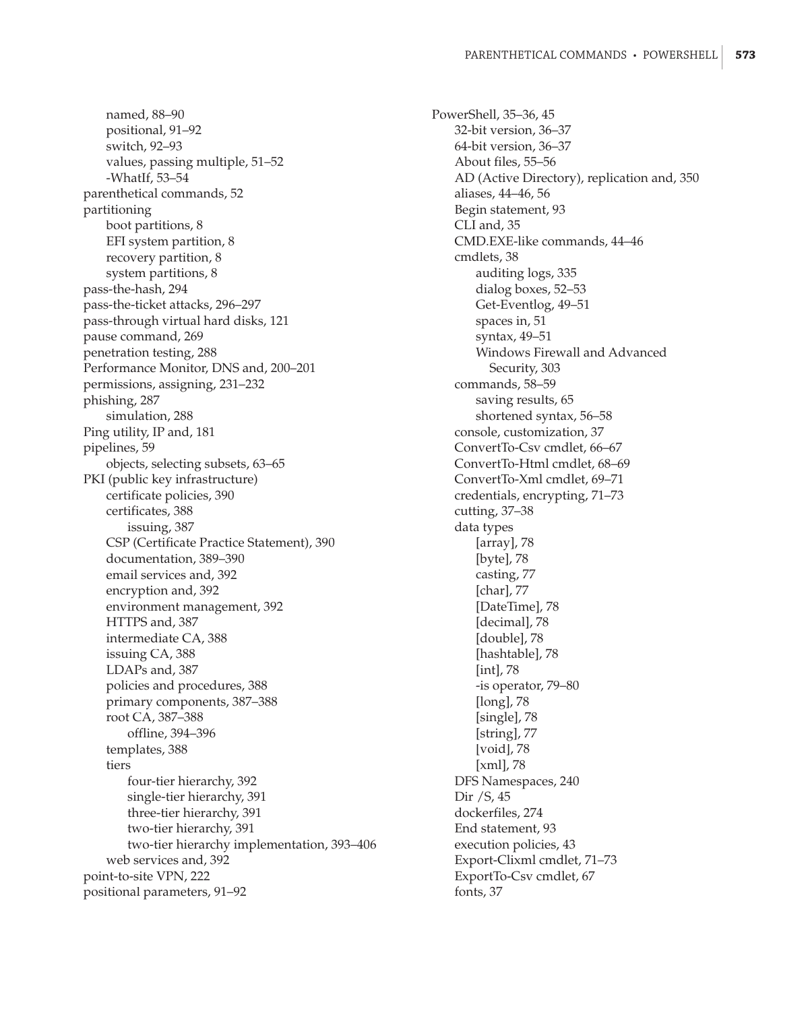named, 88–90 positional, 91–92 switch, 92–93 values, passing multiple, 51–52 -WhatIf, 53–54 parenthetical commands, 52 partitioning boot partitions, 8 EFI system partition, 8 recovery partition, 8 system partitions, 8 pass-the-hash, 294 pass-the-ticket attacks, 296–297 pass-through virtual hard disks, 121 pause command, 269 penetration testing, 288 Performance Monitor, DNS and, 200–201 permissions, assigning, 231–232 phishing, 287 simulation, 288 Ping utility, IP and, 181 pipelines, 59 objects, selecting subsets, 63–65 PKI (public key infrastructure) certificate policies, 390 certificates, 388 issuing, 387 CSP (Certificate Practice Statement), 390 documentation, 389–390 email services and, 392 encryption and, 392 environment management, 392 HTTPS and, 387 intermediate CA, 388 issuing CA, 388 LDAPs and, 387 policies and procedures, 388 primary components, 387–388 root CA, 387–388 offline, 394–396 templates, 388 tiers four-tier hierarchy, 392 single-tier hierarchy, 391 three-tier hierarchy, 391 two-tier hierarchy, 391 two-tier hierarchy implementation, 393–406 web services and, 392 point-to-site VPN, 222 positional parameters, 91–92

PowerShell, 35–36, 45 32-bit version, 36–37 64-bit version, 36–37 About files, 55–56 AD (Active Directory), replication and, 350 aliases, 44–46, 56 Begin statement, 93 CLI and, 35 CMD.EXE-like commands, 44–46 cmdlets, 38 auditing logs, 335 dialog boxes, 52–53 Get-Eventlog, 49–51 spaces in, 51 syntax, 49–51 Windows Firewall and Advanced Security, 303 commands, 58–59 saving results, 65 shortened syntax, 56–58 console, customization, 37 ConvertTo-Csv cmdlet, 66–67 ConvertTo-Html cmdlet, 68–69 ConvertTo-Xml cmdlet, 69–71 credentials, encrypting, 71–73 cutting, 37–38 data types [array], 78 [byte], 78 casting, 77 [char], 77 [DateTime], 78 [decimal], 78 [double], 78 [hashtable], 78 [int], 78 -is operator, 79–80 [long], 78 [single], 78 [string], 77 [void], 78 [xml], 78 DFS Namespaces, 240 Dir /S, 45 dockerfiles, 274 End statement, 93 execution policies, 43 Export-Clixml cmdlet, 71–73 ExportTo-Csv cmdlet, 67 fonts, 37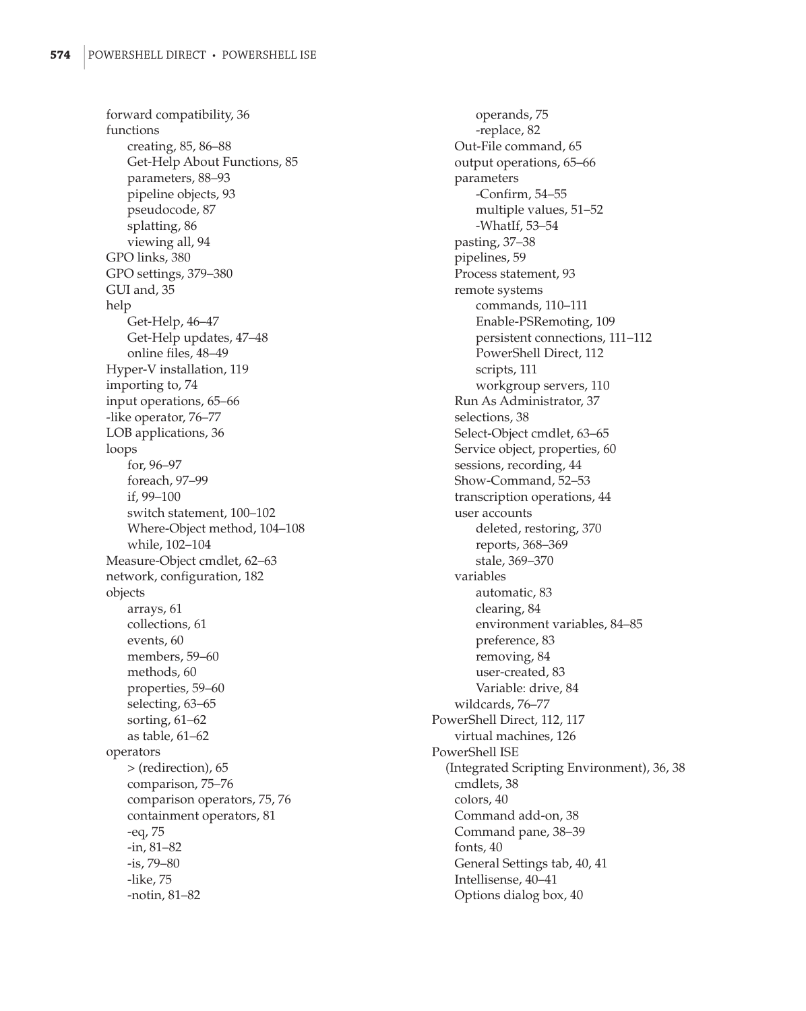forward compatibilit y, 3 6 function s creatin g, 85, 86 –88 Get-Hel p About Functions, 8 5 parameters, 88 –93 pipeline ob jects, 9 3 pseudocode, 8 7 splattin g, 8 6 viewin g all, 9 4 GPO lin k s , 38 0 GPO settin gs, 379–38 0 GUI and, 3 5 hel p Get-Hel p, 46–4 7 Get-Hel p u pdates, 47–4 8 online files , 48–4 9 H yper-V installation, 11 9 importin g to, 7 4 i n put o perations, 65 –66 -like o perator, 76–7 7 LOB applications, 3 6 loops<br>for, 96–97 foreach , 97–9 9 i f , 99–10 0 switch statement, 100–10 2 Where-Ob ject method, 104–10 8 while, 102–10 4 Measure-Ob ject cmdlet, 62–6 3 network, confi guration, 18 2 ob ject s arra ys, 6 1 collections, 6 1 events , 60 members, 59–6 0 methods , 6 0 pro perties, 59 –60 se lectin g, 63–6 5 sortin g, 6 1–6 2 as tabl e , 61–6 2 o pera tor s > (re direction ), 6 5 com parison, 75–7 6 com parison o perators, 75, 76 containment o perators, 8 1 -e q, 75 -in , 8 1–8 2 -is , 79 –80 - l i k e , 7 5 -notin , 8 1–8 2

o perands, 7 5 -re place, 8 2 Out-File command , 6 5 out put o perations, 65 –66 parame ter s -Confirm , 54–5 5 mu ltiple va lues, 51–5 2 -WhatIf , 53–5 4 pastin g, 37 –38 p i pelines, 5 9 Process statement , 9 3 remo te s y s tems comman d s , 110–111 Enable-PSRemotin g, 10 9 persistent connections, 111 –112 PowerS h ell Direct , 11 2 scri pts, 111 workgroup servers, 11 0 Run As A dministrator, 3 7 se lections , 3 8 Se lect-Object cmdlet, 63–6 5 Service object, properties, 6 0 sessions, recor din g, 4 4 S how-Command, 52–5 3 transcri ption o perations, 44 user accounts deleted, restorin g, 37 0 re ports, 368 –369 stale , 369–37 0 variable s automatic , 8 3 clearin g, 8 4 environment variables , 84–8 5 preference, 8 3 removin g, 8 4 user-created, 8 3 Variable: drive , 84 wildcar d s , 76–7 7 PowerS h ell Direct , 112 , 117 virtua l mac hines , 12 6 PowerShell ISE (Inte grate d Scriptin g Environment ), 36, 3 8 c mdlets , 3 8 c o lors, 4 0 Comman d add-on , 3 8 Comman d pane, 38–3 9 fonts , 4 0 Genera l Settin gs ta b, 40, 4 1 Intellisense , 40–4 1 Options dia l o g box, 4 0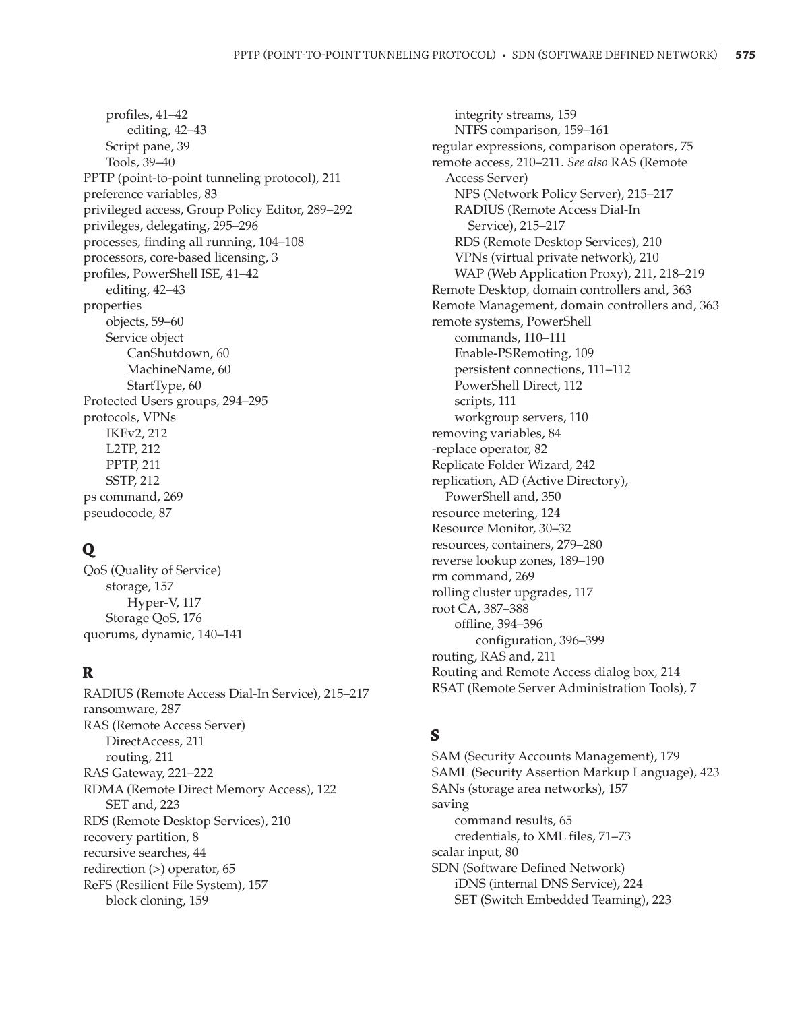profiles, 41–42 editing, 42–43 Script pane, 39 Tools, 39–40 PPTP (point-to-point tunneling protocol), 211 preference variables, 83 privileged access, Group Policy Editor, 289–292 privileges, delegating, 295–296 processes, finding all running, 104–108 processors, core-based licensing, 3 profiles, PowerShell ISE, 41–42 editing, 42–43 properties objects, 59–60 Service object CanShutdown, 60 MachineName, 60 StartType, 60 Protected Users groups, 294–295 protocols, VPNs IKEv2, 212 L2TP, 212 PPTP, 211 SSTP, 212 ps command, 269 pseudocode, 87

# **Q**

QoS (Quality of Service) storage, 157 Hyper-V, 117 Storage QoS, 176 quorums, dynamic, 140–141

## **R**

RADIUS (Remote Access Dial-In Service), 215–217 ransomware, 287 RAS (Remote Access Server) DirectAccess, 211 routing, 211 RAS Gateway, 221–222 RDMA (Remote Direct Memory Access), 122 SET and, 223 RDS (Remote Desktop Services), 210 recovery partition, 8 recursive searches, 44 redirection (>) operator, 65 ReFS (Resilient File System), 157 block cloning, 159

integrity streams, 159 NTFS comparison, 159–161 regular expressions, comparison operators, 75 remote access, 210–211. *See also* RAS (Remote Access Server) NPS (Network Policy Server), 215–217 RADIUS (Remote Access Dial-In Service), 215–217 RDS (Remote Desktop Services), 210 VPNs (virtual private network), 210 WAP (Web Application Proxy), 211, 218–219 Remote Desktop, domain controllers and, 363 Remote Management, domain controllers and, 363 remote systems, PowerShell commands, 110–111 Enable-PSRemoting, 109 persistent connections, 111–112 PowerShell Direct, 112 scripts, 111 workgroup servers, 110 removing variables, 84 -replace operator, 82 Replicate Folder Wizard, 242 replication, AD (Active Directory), PowerShell and, 350 resource metering, 124 Resource Monitor, 30–32 resources, containers, 279–280 reverse lookup zones, 189–190 rm command, 269 rolling cluster upgrades, 117 root CA, 387–388 offline, 394–396 configuration, 396–399 routing, RAS and, 211 Routing and Remote Access dialog box, 214 RSAT (Remote Server Administration Tools), 7

#### **S**

SAM (Security Accounts Management), 179 SAML (Security Assertion Markup Language), 423 SANs (storage area networks), 157 saving command results, 65 credentials, to XML files, 71–73 scalar input, 80 SDN (Software Defined Network) iDNS (internal DNS Service), 224 SET (Switch Embedded Teaming), 223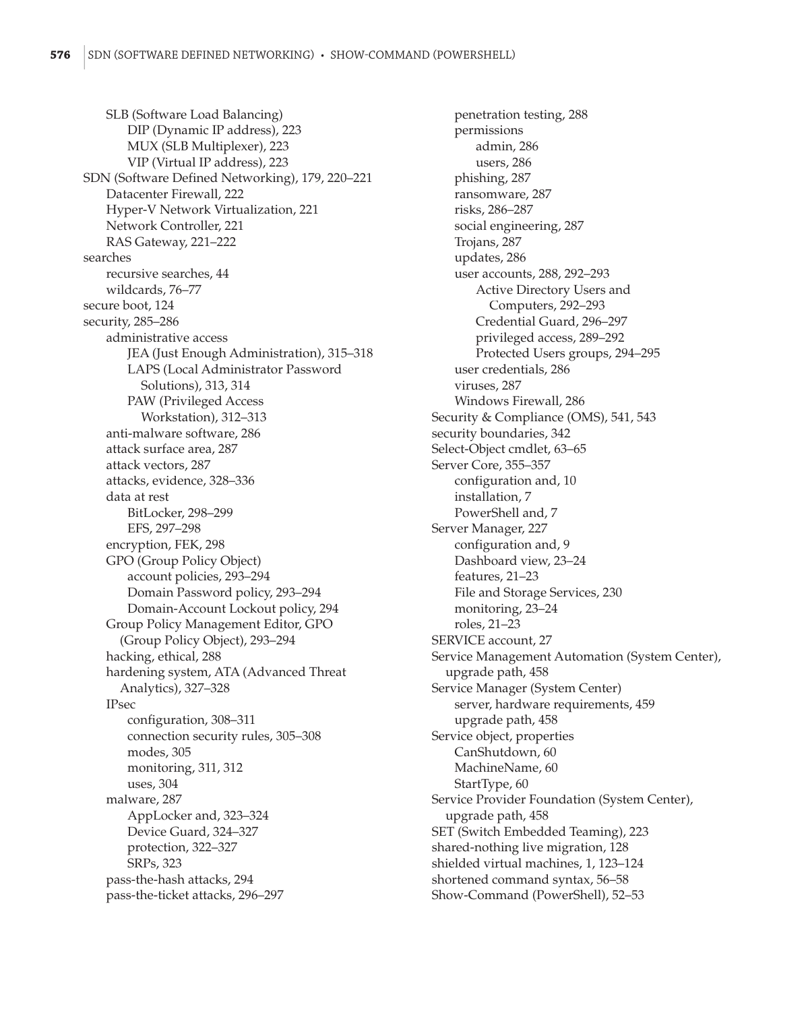SLB (Software Load Balancing) DIP (Dynamic IP address), 223 MUX (SLB Multiplexer), 223 VIP (Virtual IP address), 223 SDN (Software Defined Networking), 179, 220–221 Datacenter Firewall, 222 Hyper-V Network Virtualization, 221 Network Controller, 221 RAS Gateway, 221–222 searches recursive searches, 44 wildcards, 76–77 secure boot, 124 security, 285–286 administrative access JEA (Just Enough Administration), 315–318 LAPS (Local Administrator Password Solutions), 313, 314 PAW (Privileged Access Workstation), 312–313 anti-malware software, 286 attack surface area, 287 attack vectors, 287 attacks, evidence, 328–336 data at rest BitLocker, 298–299 EFS, 297–298 encryption, FEK, 298 GPO (Group Policy Object) account policies, 293–294 Domain Password policy, 293–294 Domain-Account Lockout policy, 294 Group Policy Management Editor, GPO (Group Policy Object), 293–294 hacking, ethical, 288 hardening system, ATA (Advanced Threat Analytics), 327–328 IPsec configuration, 308–311 connection security rules, 305–308 modes, 305 monitoring, 311, 312 uses, 304 malware, 287 AppLocker and, 323–324 Device Guard, 324–327 protection, 322–327 SRPs, 323 pass-the-hash attacks, 294 pass-the-ticket attacks, 296–297

penetration testing, 288 permissions admin, 286 users, 286 phishing, 287 ransomware, 287 risks, 286–287 social engineering, 287 Trojans, 287 updates, 286 user accounts, 288, 292–293 Active Directory Users and Computers, 292–293 Credential Guard, 296–297 privileged access, 289–292 Protected Users groups, 294–295 user credentials, 286 viruses, 287 Windows Firewall, 286 Security & Compliance (OMS), 541, 543 security boundaries, 342 Select-Object cmdlet, 63–65 Server Core, 355–357 configuration and, 10 installation, 7 PowerShell and, 7 Server Manager, 227 configuration and, 9 Dashboard view, 23–24 features, 21–23 File and Storage Services, 230 monitoring, 23–24 roles, 21–23 SERVICE account, 27 Service Management Automation (System Center), upgrade path, 458 Service Manager (System Center) server, hardware requirements, 459 upgrade path, 458 Service object, properties CanShutdown, 60 MachineName, 60 StartType, 60 Service Provider Foundation (System Center), upgrade path, 458 SET (Switch Embedded Teaming), 223 shared-nothing live migration, 128 shielded virtual machines, 1, 123–124 shortened command syntax, 56–58 Show-Command (PowerShell), 52–53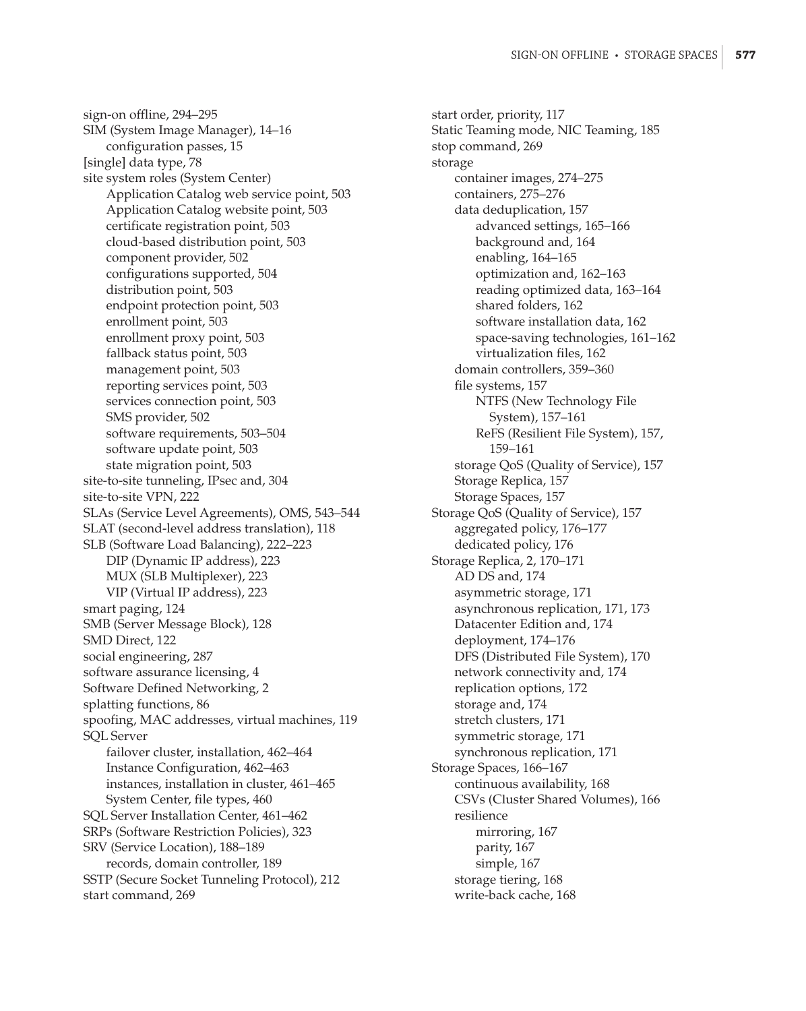sign-on offline, 294–295 SIM (System Image Manager), 14–16 configuration passes, 15 [single] data type, 78 site system roles (System Center) Application Catalog web service point, 503 Application Catalog website point, 503 certificate registration point, 503 cloud-based distribution point, 503 component provider, 502 configurations supported, 504 distribution point, 503 endpoint protection point, 503 enrollment point, 503 enrollment proxy point, 503 fallback status point, 503 management point, 503 reporting services point, 503 services connection point, 503 SMS provider, 502 software requirements, 503–504 software update point, 503 state migration point, 503 site-to-site tunneling, IPsec and, 304 site-to-site VPN, 222 SLAs (Service Level Agreements), OMS, 543–544 SLAT (second-level address translation), 118 SLB (Software Load Balancing), 222–223 DIP (Dynamic IP address), 223 MUX (SLB Multiplexer), 223 VIP (Virtual IP address), 223 smart paging, 124 SMB (Server Message Block), 128 SMD Direct, 122 social engineering, 287 software assurance licensing, 4 Software Defined Networking, 2 splatting functions, 86 spoofing, MAC addresses, virtual machines, 119 SQL Server failover cluster, installation, 462–464 Instance Configuration, 462–463 instances, installation in cluster, 461–465 System Center, file types, 460 SQL Server Installation Center, 461–462 SRPs (Software Restriction Policies), 323 SRV (Service Location), 188–189 records, domain controller, 189 SSTP (Secure Socket Tunneling Protocol), 212 start command, 269

start order, priority, 117 Static Teaming mode, NIC Teaming, 185 stop command, 269 storage container images, 274–275 containers, 275–276 data deduplication, 157 advanced settings, 165–166 background and, 164 enabling, 164–165 optimization and, 162–163 reading optimized data, 163–164 shared folders, 162 software installation data, 162 space-saving technologies, 161–162 virtualization files, 162 domain controllers, 359–360 file systems, 157 NTFS (New Technology File System), 157–161 ReFS (Resilient File System), 157, 159–161 storage QoS (Quality of Service), 157 Storage Replica, 157 Storage Spaces, 157 Storage QoS (Quality of Service), 157 aggregated policy, 176–177 dedicated policy, 176 Storage Replica, 2, 170–171 AD DS and, 174 asymmetric storage, 171 asynchronous replication, 171, 173 Datacenter Edition and, 174 deployment, 174–176 DFS (Distributed File System), 170 network connectivity and, 174 replication options, 172 storage and, 174 stretch clusters, 171 symmetric storage, 171 synchronous replication, 171 Storage Spaces, 166–167 continuous availability, 168 CSVs (Cluster Shared Volumes), 166 resilience mirroring, 167 parity, 167 simple, 167 storage tiering, 168 write-back cache, 168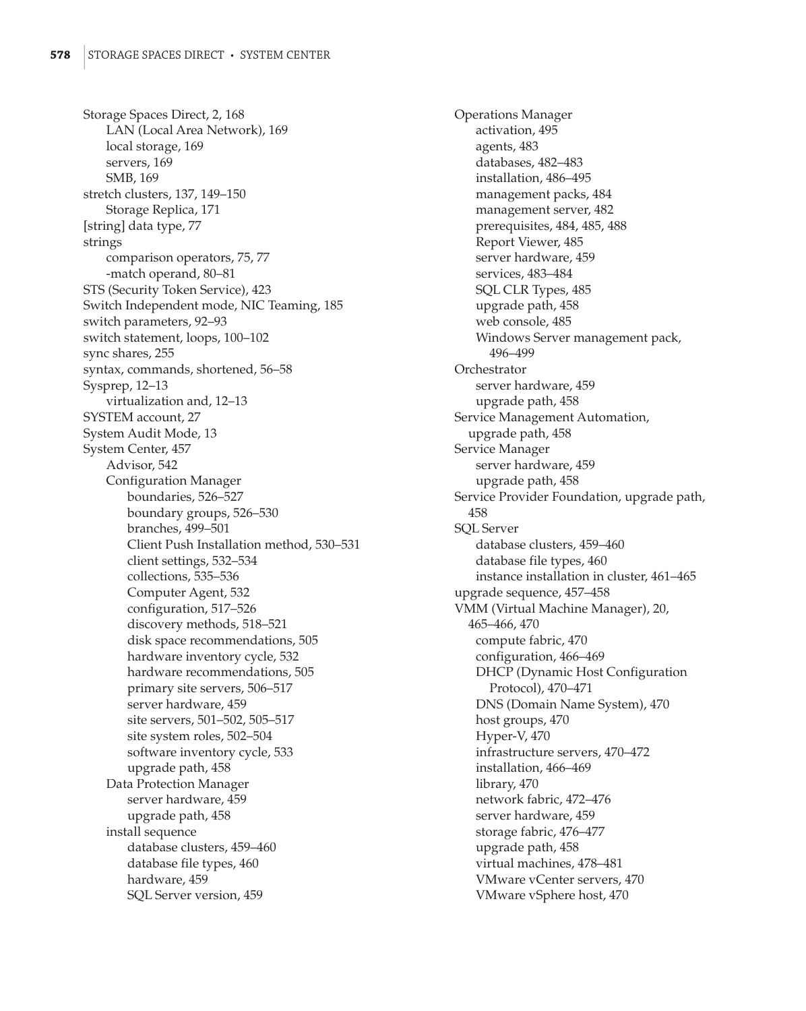Storage Spaces Direct, 2, 168 LAN (Local Area Network), 169 local storage, 169 servers, 169 SMB, 169 stretch clusters, 137, 149–150 Storage Replica, 171 [string] data type, 77 strings comparison operators, 75, 77 -match operand, 80–81 STS (Security Token Service), 423 Switch Independent mode, NIC Teaming, 185 switch parameters, 92–93 switch statement, loops, 100–102 sync shares, 255 syntax, commands, shortened, 56–58 Sysprep, 12–13 virtualization and, 12–13 SYSTEM account, 27 System Audit Mode, 13 System Center, 457 Advisor, 542 Configuration Manager boundaries, 526–527 boundary groups, 526–530 branches, 499–501 Client Push Installation method, 530–531 client settings, 532–534 collections, 535–536 Computer Agent, 532 configuration, 517–526 discovery methods, 518–521 disk space recommendations, 505 hardware inventory cycle, 532 hardware recommendations, 505 primary site servers, 506–517 server hardware, 459 site servers, 501–502, 505–517 site system roles, 502–504 software inventory cycle, 533 upgrade path, 458 Data Protection Manager server hardware, 459 upgrade path, 458 install sequence database clusters, 459–460 database file types, 460 hardware, 459 SQL Server version, 459

Operations Manager activation, 495 agents, 483 databases, 482–483 installation, 486–495 management packs, 484 management server, 482 prerequisites, 484, 485, 488 Report Viewer, 485 server hardware, 459 services, 483–484 SQL CLR Types, 485 upgrade path, 458 web console, 485 Windows Server management pack, 496–499 **Orchestrator** server hardware, 459 upgrade path, 458 Service Management Automation, upgrade path, 458 Service Manager server hardware, 459 upgrade path, 458 Service Provider Foundation, upgrade path, 458 SQL Server database clusters, 459–460 database file types, 460 instance installation in cluster, 461–465 upgrade sequence, 457–458 VMM (Virtual Machine Manager), 20, 465–466, 470 compute fabric, 470 configuration, 466–469 DHCP (Dynamic Host Configuration Protocol), 470–471 DNS (Domain Name System), 470 host groups, 470 Hyper-V, 470 infrastructure servers, 470–472 installation, 466–469 library, 470 network fabric, 472–476 server hardware, 459 storage fabric, 476–477 upgrade path, 458 virtual machines, 478–481 VMware vCenter servers, 470 VMware vSphere host, 470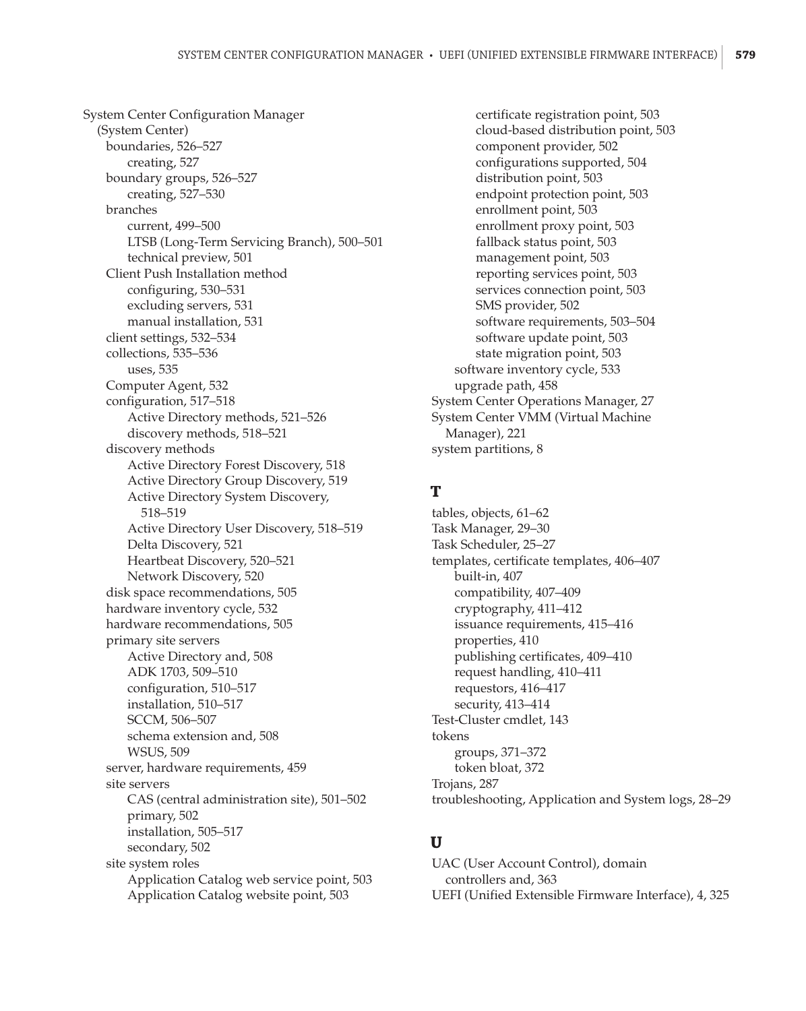System Center Configuration Manager (System Center) boundaries, 526–527 creating, 527 boundary groups, 526–527 creating, 527–530 branches current, 499–500 LTSB (Long-Term Servicing Branch), 500–501 technical preview, 501 Client Push Installation method configuring, 530–531 excluding servers, 531 manual installation, 531 client settings, 532–534 collections, 535–536 uses, 535 Computer Agent, 532 configuration, 517–518 Active Directory methods, 521–526 discovery methods, 518–521 discovery methods Active Directory Forest Discovery, 518 Active Directory Group Discovery, 519 Active Directory System Discovery, 518–519 Active Directory User Discovery, 518–519 Delta Discovery, 521 Heartbeat Discovery, 520–521 Network Discovery, 520 disk space recommendations, 505 hardware inventory cycle, 532 hardware recommendations, 505 primary site servers Active Directory and, 508 ADK 1703, 509–510 configuration, 510–517 installation, 510–517 SCCM, 506–507 schema extension and, 508 WSUS, 509 server, hardware requirements, 459 site servers CAS (central administration site), 501–502 primary, 502 installation, 505–517 secondary, 502 site system roles Application Catalog web service point, 503 Application Catalog website point, 503

certificate registration point, 503 cloud-based distribution point, 503 component provider, 502 configurations supported, 504 distribution point, 503 endpoint protection point, 503 enrollment point, 503 enrollment proxy point, 503 fallback status point, 503 management point, 503 reporting services point, 503 services connection point, 503 SMS provider, 502 software requirements, 503–504 software update point, 503 state migration point, 503 software inventory cycle, 533 upgrade path, 458 System Center Operations Manager, 27 System Center VMM (Virtual Machine Manager), 221 system partitions, 8

## **T**

tables, objects, 61–62 Task Manager, 29–30 Task Scheduler, 25–27 templates, certificate templates, 406–407 built-in, 407 compatibility, 407–409 cryptography, 411–412 issuance requirements, 415–416 properties, 410 publishing certificates, 409–410 request handling, 410–411 requestors, 416–417 security, 413–414 Test-Cluster cmdlet, 143 tokens groups, 371–372 token bloat, 372 Trojans, 287 troubleshooting, Application and System logs, 28–29

#### **U**

UAC (User Account Control), domain controllers and, 363 UEFI (Unified Extensible Firmware Interface), 4, 325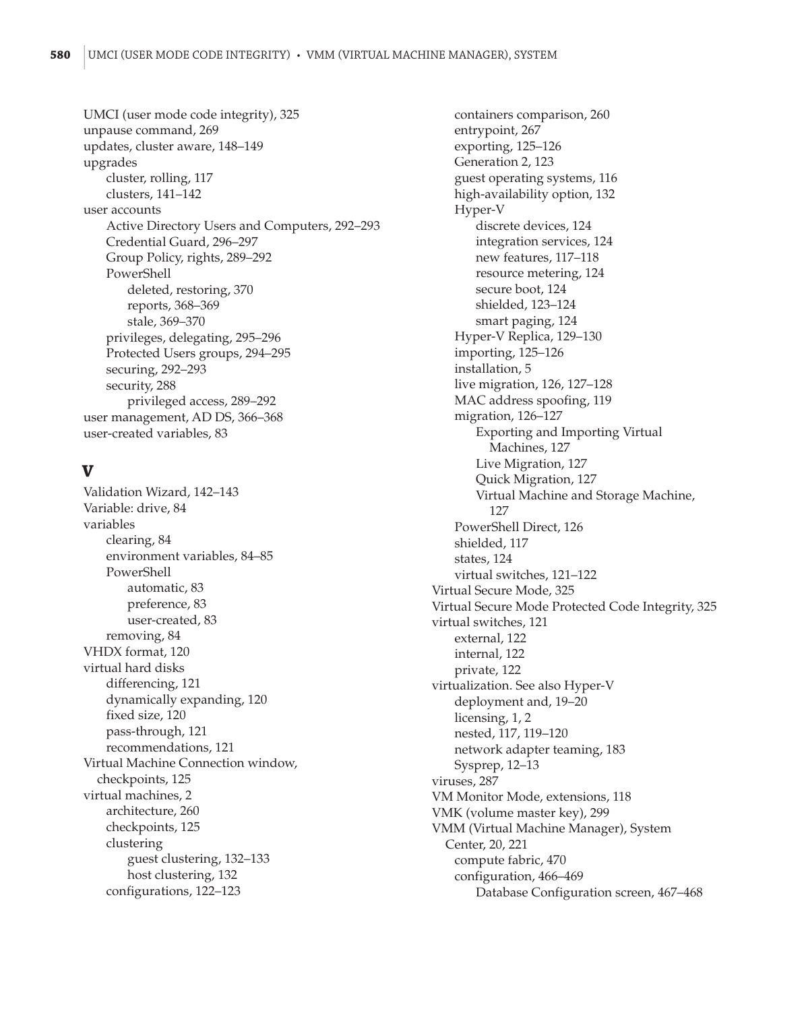UMCI (user mode code integrity), 325 unpause command, 269 updates, cluster aware, 148–149 upgrades cluster, rolling, 117 clusters, 141–142 user accounts Active Directory Users and Computers, 292–293 Credential Guard, 296–297 Group Policy, rights, 289–292 PowerShell deleted, restoring, 370 reports, 368–369 stale, 369–370 privileges, delegating, 295–296 Protected Users groups, 294–295 securing, 292–293 security, 288 privileged access, 289–292 user management, AD DS, 366–368 user-created variables, 83

#### **V**

Validation Wizard, 142–143 Variable: drive, 84 variables clearing, 84 environment variables, 84–85 PowerShell automatic, 83 preference, 83 user-created, 83 removing, 84 VHDX format, 120 virtual hard disks differencing, 121 dynamically expanding, 120 fixed size, 120 pass-through, 121 recommendations, 121 Virtual Machine Connection window, checkpoints, 125 virtual machines, 2 architecture, 260 checkpoints, 125 clustering guest clustering, 132–133 host clustering, 132 configurations, 122–123

containers comparison, 260 entrypoint, 267 exporting, 125–126 Generation 2, 123 guest operating systems, 116 high-availability option, 132 Hyper-V discrete devices, 124 integration services, 124 new features, 117–118 resource metering, 124 secure boot, 124 shielded, 123–124 smart paging, 124 Hyper-V Replica, 129–130 importing, 125–126 installation, 5 live migration, 126, 127–128 MAC address spoofing, 119 migration, 126–127 Exporting and Importing Virtual Machines, 127 Live Migration, 127 Quick Migration, 127 Virtual Machine and Storage Machine, 127 PowerShell Direct, 126 shielded, 117 states, 124 virtual switches, 121–122 Virtual Secure Mode, 325 Virtual Secure Mode Protected Code Integrity, 325 virtual switches, 121 external, 122 internal, 122 private, 122 virtualization. See also Hyper-V deployment and, 19–20 licensing, 1, 2 nested, 117, 119–120 network adapter teaming, 183 Sysprep, 12–13 viruses, 287 VM Monitor Mode, extensions, 118 VMK (volume master key), 299 VMM (Virtual Machine Manager), System Center, 20, 221 compute fabric, 470 configuration, 466–469 Database Configuration screen, 467–468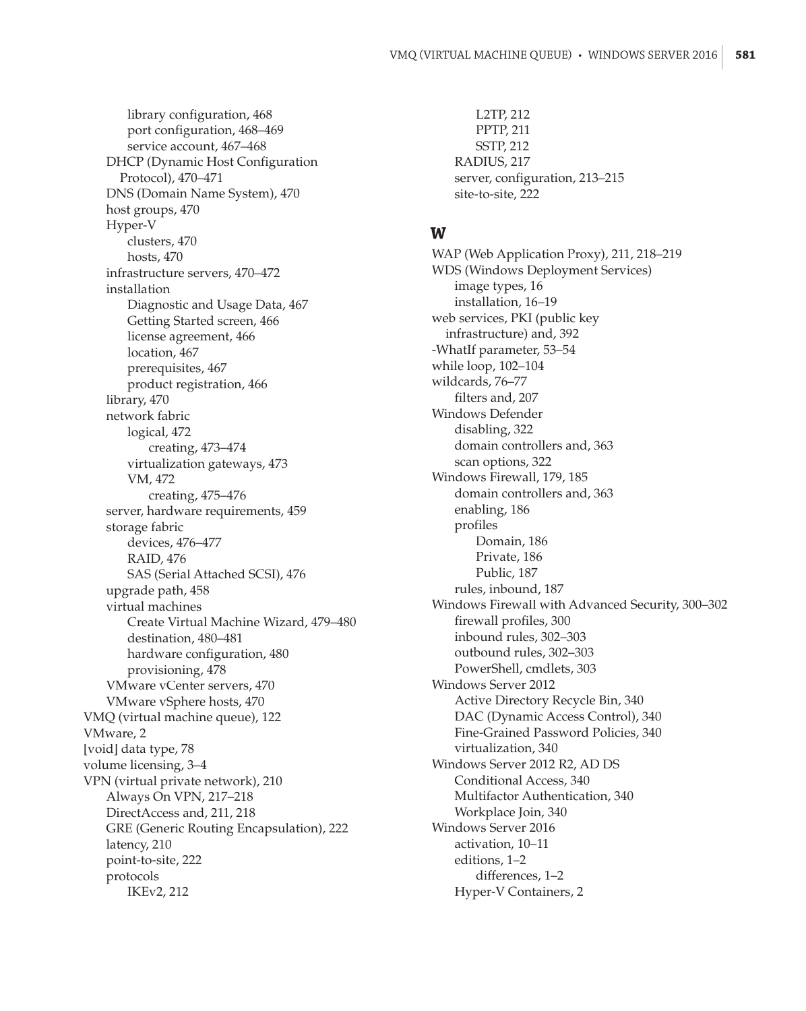library configuration, 468 port configuration, 468–469 service account, 467–468 DHCP (Dynamic Host Configuration Protocol), 470–471 DNS (Domain Name System), 470 host groups, 470 Hyper-V clusters, 470 hosts, 470 infrastructure servers, 470–472 installation Diagnostic and Usage Data, 467 Getting Started screen, 466 license agreement, 466 location, 467 prerequisites, 467 product registration, 466 library, 470 network fabric logical, 472 creating, 473–474 virtualization gateways, 473 VM, 472 creating, 475–476 server, hardware requirements, 459 storage fabric devices, 476–477 RAID, 476 SAS (Serial Attached SCSI), 476 upgrade path, 458 virtual machines Create Virtual Machine Wizard, 479–480 destination, 480–481 hardware configuration, 480 provisioning, 478 VMware vCenter servers, 470 VMware vSphere hosts, 470 VMQ (virtual machine queue), 122 VMware, 2 [void] data type, 78 volume licensing, 3–4 VPN (virtual private network), 210 Always On VPN, 217–218 DirectAccess and, 211, 218 GRE (Generic Routing Encapsulation), 222 latency, 210 point-to-site, 222 protocols IKEv2, 212

L2TP, 212 PPTP, 211 SSTP, 212 RADIUS, 217 server, configuration, 213–215 site-to-site, 222

#### **W**

WAP (Web Application Proxy), 211, 218–219 WDS (Windows Deployment Services) image types, 16 installation, 16–19 web services, PKI (public key infrastructure) and, 392 -WhatIf parameter, 53–54 while loop, 102–104 wildcards, 76–77 filters and, 207 Windows Defender disabling, 322 domain controllers and, 363 scan options, 322 Windows Firewall, 179, 185 domain controllers and, 363 enabling, 186 profiles Domain, 186 Private, 186 Public, 187 rules, inbound, 187 Windows Firewall with Advanced Security, 300–302 firewall profiles, 300 inbound rules, 302–303 outbound rules, 302–303 PowerShell, cmdlets, 303 Windows Server 2012 Active Directory Recycle Bin, 340 DAC (Dynamic Access Control), 340 Fine-Grained Password Policies, 340 virtualization, 340 Windows Server 2012 R2, AD DS Conditional Access, 340 Multifactor Authentication, 340 Workplace Join, 340 Windows Server 2016 activation, 10–11 editions, 1–2 differences, 1–2 Hyper-V Containers, 2